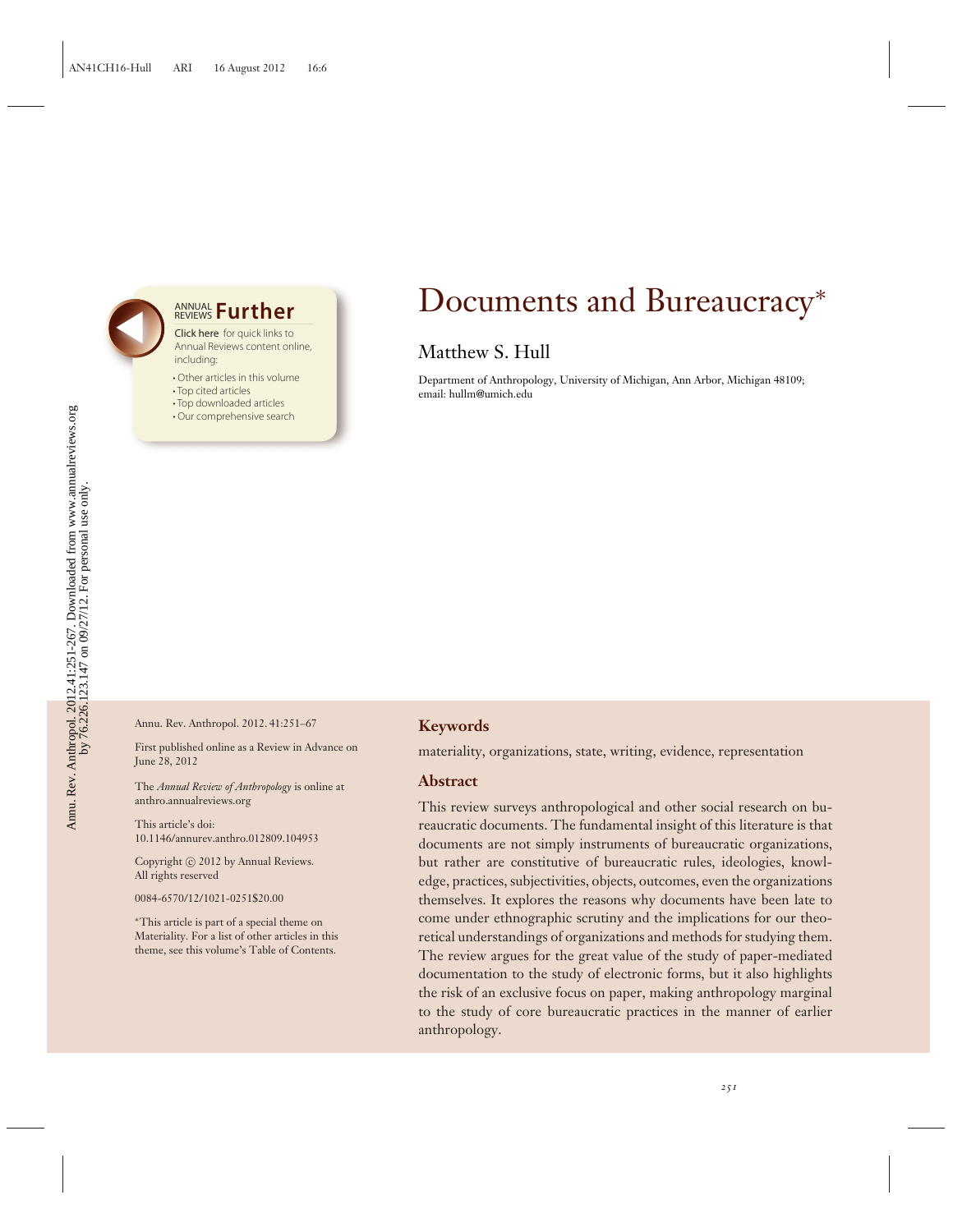## **ANNUAL Further**

Click here for quick links to Annual Reviews content online, including:

- Other articles in this volume
- Top cited articles
- Top downloaded articles
- Our comprehensive search

## Documents and Bureaucracy<sup>∗</sup>

## Matthew S. Hull

Department of Anthropology, University of Michigan, Ann Arbor, Michigan 48109; email: hullm@umich.edu

Annu. Rev. Anthropol. 2012. 41:251–67

First published online as a Review in Advance on June 28, 2012

The *Annual Review of Anthropology* is online at anthro.annualreviews.org

This article's doi: 10.1146/annurev.anthro.012809.104953

Copyright © 2012 by Annual Reviews. All rights reserved

0084-6570/12/1021-0251\$20.00

∗This article is part of a special theme on Materiality. For a list of other articles in this theme, see this volume's Table of Contents.

#### **Keywords**

materiality, organizations, state, writing, evidence, representation

#### **Abstract**

This review surveys anthropological and other social research on bureaucratic documents. The fundamental insight of this literature is that documents are not simply instruments of bureaucratic organizations, but rather are constitutive of bureaucratic rules, ideologies, knowledge, practices, subjectivities, objects, outcomes, even the organizations themselves. It explores the reasons why documents have been late to come under ethnographic scrutiny and the implications for our theoretical understandings of organizations and methods for studying them. The review argues for the great value of the study of paper-mediated documentation to the study of electronic forms, but it also highlights the risk of an exclusive focus on paper, making anthropology marginal to the study of core bureaucratic practices in the manner of earlier anthropology.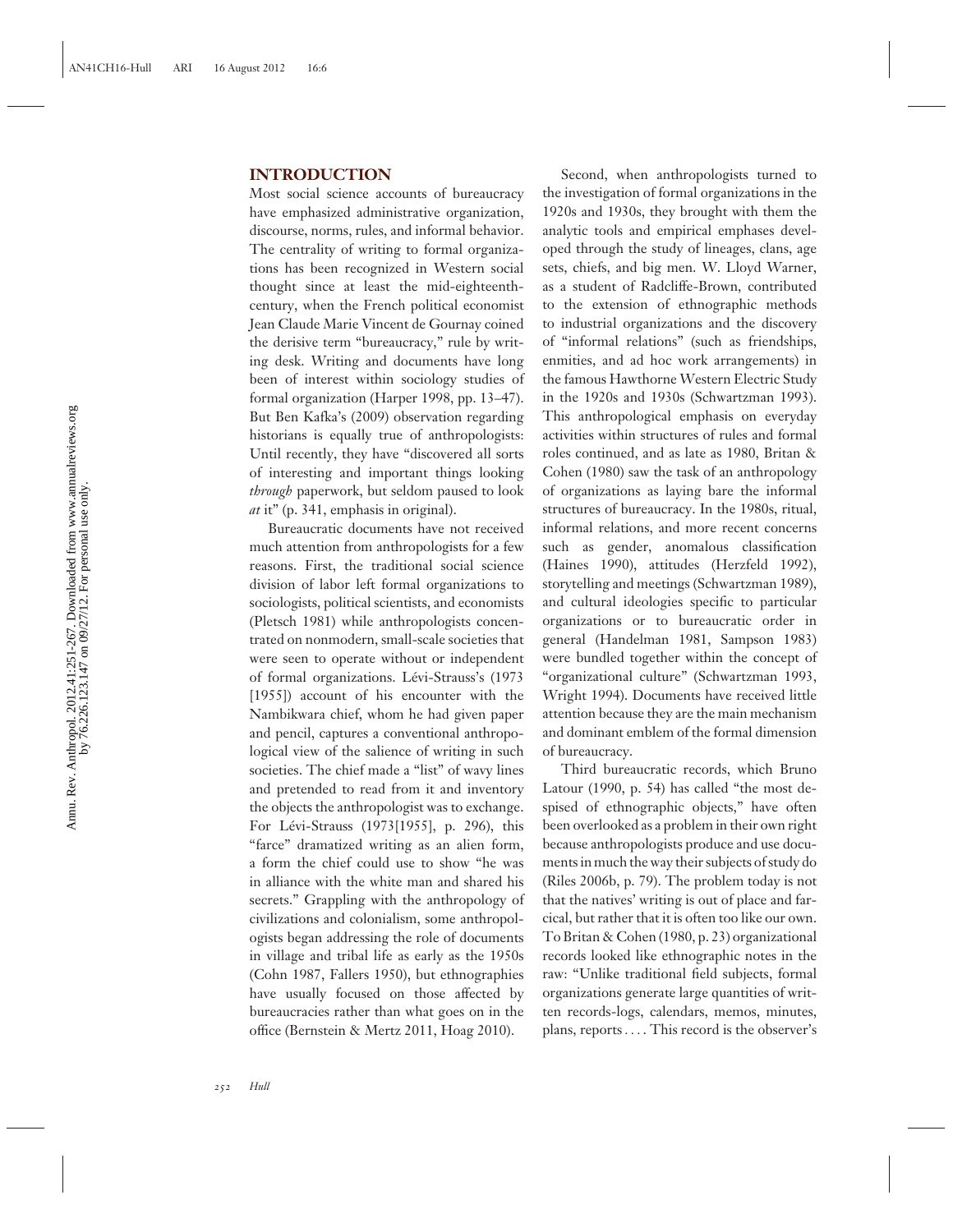#### **INTRODUCTION**

Most social science accounts of bureaucracy have emphasized administrative organization, discourse, norms, rules, and informal behavior. The centrality of writing to formal organizations has been recognized in Western social thought since at least the mid-eighteenthcentury, when the French political economist Jean Claude Marie Vincent de Gournay coined the derisive term "bureaucracy," rule by writing desk. Writing and documents have long been of interest within sociology studies of formal organization (Harper 1998, pp. 13–47). But Ben Kafka's (2009) observation regarding historians is equally true of anthropologists: Until recently, they have "discovered all sorts of interesting and important things looking *through* paperwork, but seldom paused to look *at* it" (p. 341, emphasis in original).

Bureaucratic documents have not received much attention from anthropologists for a few reasons. First, the traditional social science division of labor left formal organizations to sociologists, political scientists, and economists (Pletsch 1981) while anthropologists concentrated on nonmodern, small-scale societies that were seen to operate without or independent of formal organizations. Lévi-Strauss's (1973 [1955]) account of his encounter with the Nambikwara chief, whom he had given paper and pencil, captures a conventional anthropological view of the salience of writing in such societies. The chief made a "list" of wavy lines and pretended to read from it and inventory the objects the anthropologist was to exchange. For Lévi-Strauss (1973[1955], p. 296), this "farce" dramatized writing as an alien form, a form the chief could use to show "he was in alliance with the white man and shared his secrets." Grappling with the anthropology of civilizations and colonialism, some anthropologists began addressing the role of documents in village and tribal life as early as the 1950s (Cohn 1987, Fallers 1950), but ethnographies have usually focused on those affected by bureaucracies rather than what goes on in the office (Bernstein & Mertz 2011, Hoag 2010).

Second, when anthropologists turned to the investigation of formal organizations in the 1920s and 1930s, they brought with them the analytic tools and empirical emphases developed through the study of lineages, clans, age sets, chiefs, and big men. W. Lloyd Warner, as a student of Radcliffe-Brown, contributed to the extension of ethnographic methods to industrial organizations and the discovery of "informal relations" (such as friendships, enmities, and ad hoc work arrangements) in the famous Hawthorne Western Electric Study in the 1920s and 1930s (Schwartzman 1993). This anthropological emphasis on everyday activities within structures of rules and formal roles continued, and as late as 1980, Britan & Cohen (1980) saw the task of an anthropology of organizations as laying bare the informal structures of bureaucracy. In the 1980s, ritual, informal relations, and more recent concerns such as gender, anomalous classification (Haines 1990), attitudes (Herzfeld 1992), storytelling and meetings (Schwartzman 1989), and cultural ideologies specific to particular organizations or to bureaucratic order in general (Handelman 1981, Sampson 1983) were bundled together within the concept of "organizational culture" (Schwartzman 1993, Wright 1994). Documents have received little attention because they are the main mechanism and dominant emblem of the formal dimension of bureaucracy.

Third bureaucratic records, which Bruno Latour (1990, p. 54) has called "the most despised of ethnographic objects," have often been overlooked as a problem in their own right because anthropologists produce and use documents in much the way their subjects of study do (Riles 2006b, p. 79). The problem today is not that the natives' writing is out of place and farcical, but rather that it is often too like our own. To Britan & Cohen (1980, p. 23) organizational records looked like ethnographic notes in the raw: "Unlike traditional field subjects, formal organizations generate large quantities of written records-logs, calendars, memos, minutes, plans, reports... . This record is the observer's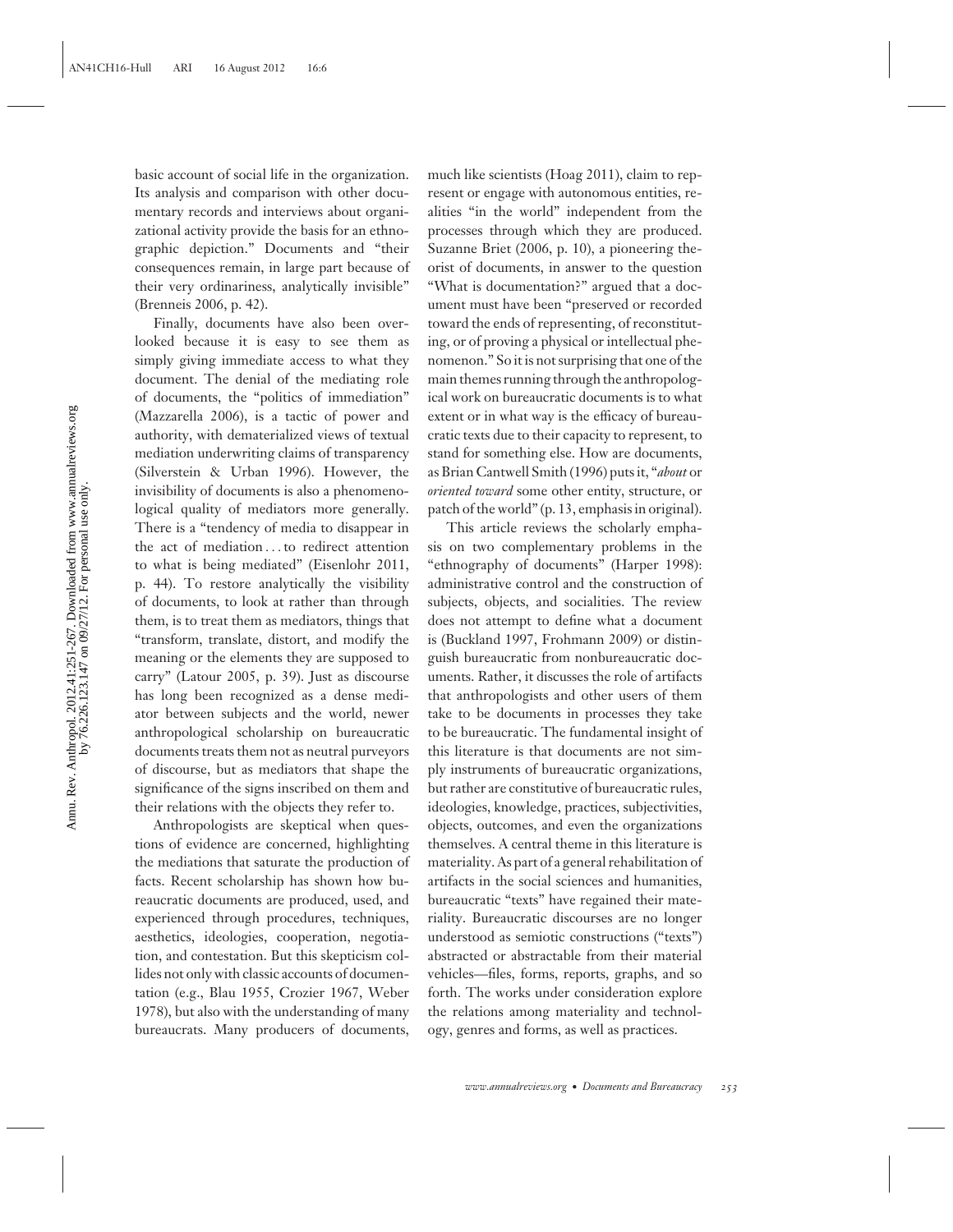Annu. Rev. Anthropol. 2012.41:251-267. Downloaded from www.annualreviews.org<br>by  $76.226.123.147$  on 09/27/12. For personal use only. Annu. Rev. Anthropol. 2012.41:251-267. Downloaded from www.annualreviews.org by 76.226.123.147 on 09/27/12. For personal use only.

basic account of social life in the organization. Its analysis and comparison with other documentary records and interviews about organizational activity provide the basis for an ethnographic depiction." Documents and "their consequences remain, in large part because of their very ordinariness, analytically invisible" (Brenneis 2006, p. 42).

Finally, documents have also been overlooked because it is easy to see them as simply giving immediate access to what they document. The denial of the mediating role of documents, the "politics of immediation" (Mazzarella 2006), is a tactic of power and authority, with dematerialized views of textual mediation underwriting claims of transparency (Silverstein & Urban 1996). However, the invisibility of documents is also a phenomenological quality of mediators more generally. There is a "tendency of media to disappear in the act of mediation ... to redirect attention to what is being mediated" (Eisenlohr 2011, p. 44). To restore analytically the visibility of documents, to look at rather than through them, is to treat them as mediators, things that "transform, translate, distort, and modify the meaning or the elements they are supposed to carry" (Latour 2005, p. 39). Just as discourse has long been recognized as a dense mediator between subjects and the world, newer anthropological scholarship on bureaucratic documents treats them not as neutral purveyors of discourse, but as mediators that shape the significance of the signs inscribed on them and their relations with the objects they refer to.

Anthropologists are skeptical when questions of evidence are concerned, highlighting the mediations that saturate the production of facts. Recent scholarship has shown how bureaucratic documents are produced, used, and experienced through procedures, techniques, aesthetics, ideologies, cooperation, negotiation, and contestation. But this skepticism collides not only with classic accounts of documentation (e.g., Blau 1955, Crozier 1967, Weber 1978), but also with the understanding of many bureaucrats. Many producers of documents,

much like scientists (Hoag 2011), claim to represent or engage with autonomous entities, realities "in the world" independent from the processes through which they are produced. Suzanne Briet (2006, p. 10), a pioneering theorist of documents, in answer to the question "What is documentation?" argued that a document must have been "preserved or recorded toward the ends of representing, of reconstituting, or of proving a physical or intellectual phenomenon." So it is not surprising that one of the main themes running through the anthropological work on bureaucratic documents is to what extent or in what way is the efficacy of bureaucratic texts due to their capacity to represent, to stand for something else. How are documents, as Brian Cantwell Smith (1996) puts it, "*about* or *oriented toward* some other entity, structure, or patch of the world" (p. 13, emphasis in original).

This article reviews the scholarly emphasis on two complementary problems in the "ethnography of documents" (Harper 1998): administrative control and the construction of subjects, objects, and socialities. The review does not attempt to define what a document is (Buckland 1997, Frohmann 2009) or distinguish bureaucratic from nonbureaucratic documents. Rather, it discusses the role of artifacts that anthropologists and other users of them take to be documents in processes they take to be bureaucratic. The fundamental insight of this literature is that documents are not simply instruments of bureaucratic organizations, but rather are constitutive of bureaucratic rules, ideologies, knowledge, practices, subjectivities, objects, outcomes, and even the organizations themselves. A central theme in this literature is materiality. As part of a general rehabilitation of artifacts in the social sciences and humanities, bureaucratic "texts" have regained their materiality. Bureaucratic discourses are no longer understood as semiotic constructions ("texts") abstracted or abstractable from their material vehicles—files, forms, reports, graphs, and so forth. The works under consideration explore the relations among materiality and technology, genres and forms, as well as practices.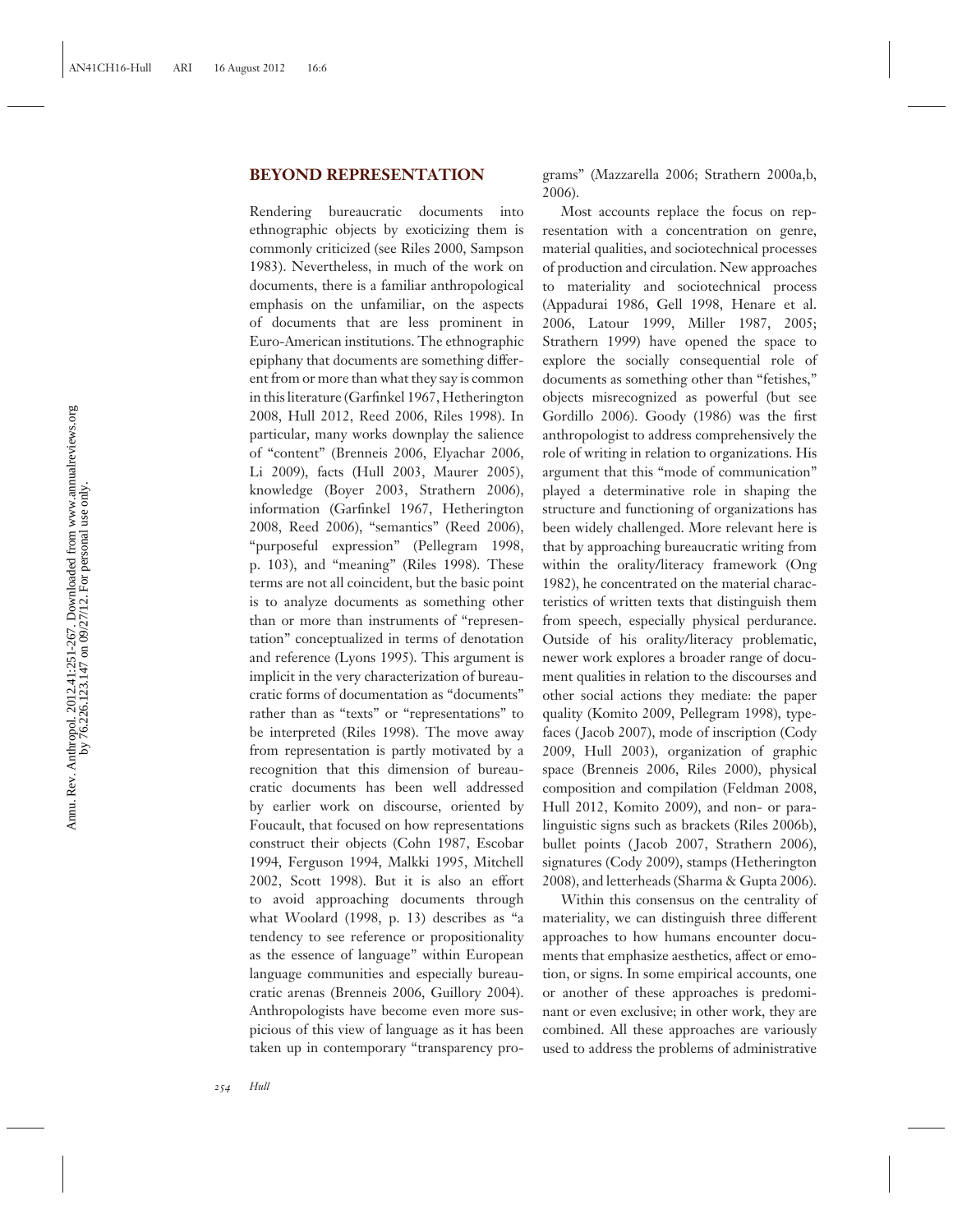#### **BEYOND REPRESENTATION**

Rendering bureaucratic documents into ethnographic objects by exoticizing them is commonly criticized (see Riles 2000, Sampson 1983). Nevertheless, in much of the work on documents, there is a familiar anthropological emphasis on the unfamiliar, on the aspects of documents that are less prominent in Euro-American institutions. The ethnographic epiphany that documents are something different from or more than what they say is common in this literature (Garfinkel 1967, Hetherington 2008, Hull 2012, Reed 2006, Riles 1998). In particular, many works downplay the salience of "content" (Brenneis 2006, Elyachar 2006, Li 2009), facts (Hull 2003, Maurer 2005), knowledge (Boyer 2003, Strathern 2006), information (Garfinkel 1967, Hetherington 2008, Reed 2006), "semantics" (Reed 2006), "purposeful expression" (Pellegram 1998, p. 103), and "meaning" (Riles 1998). These terms are not all coincident, but the basic point is to analyze documents as something other than or more than instruments of "representation" conceptualized in terms of denotation and reference (Lyons 1995). This argument is implicit in the very characterization of bureaucratic forms of documentation as "documents" rather than as "texts" or "representations" to be interpreted (Riles 1998). The move away from representation is partly motivated by a recognition that this dimension of bureaucratic documents has been well addressed by earlier work on discourse, oriented by Foucault, that focused on how representations construct their objects (Cohn 1987, Escobar 1994, Ferguson 1994, Malkki 1995, Mitchell 2002, Scott 1998). But it is also an effort to avoid approaching documents through what Woolard (1998, p. 13) describes as "a tendency to see reference or propositionality as the essence of language" within European language communities and especially bureaucratic arenas (Brenneis 2006, Guillory 2004). Anthropologists have become even more suspicious of this view of language as it has been taken up in contemporary "transparency programs" (Mazzarella 2006; Strathern 2000a,b, 2006).

Most accounts replace the focus on representation with a concentration on genre, material qualities, and sociotechnical processes of production and circulation. New approaches to materiality and sociotechnical process (Appadurai 1986, Gell 1998, Henare et al. 2006, Latour 1999, Miller 1987, 2005; Strathern 1999) have opened the space to explore the socially consequential role of documents as something other than "fetishes," objects misrecognized as powerful (but see Gordillo 2006). Goody (1986) was the first anthropologist to address comprehensively the role of writing in relation to organizations. His argument that this "mode of communication" played a determinative role in shaping the structure and functioning of organizations has been widely challenged. More relevant here is that by approaching bureaucratic writing from within the orality/literacy framework (Ong 1982), he concentrated on the material characteristics of written texts that distinguish them from speech, especially physical perdurance. Outside of his orality/literacy problematic, newer work explores a broader range of document qualities in relation to the discourses and other social actions they mediate: the paper quality (Komito 2009, Pellegram 1998), typefaces ( Jacob 2007), mode of inscription (Cody 2009, Hull 2003), organization of graphic space (Brenneis 2006, Riles 2000), physical composition and compilation (Feldman 2008, Hull 2012, Komito 2009), and non- or paralinguistic signs such as brackets (Riles 2006b), bullet points ( Jacob 2007, Strathern 2006), signatures (Cody 2009), stamps (Hetherington 2008), and letterheads (Sharma & Gupta 2006).

Within this consensus on the centrality of materiality, we can distinguish three different approaches to how humans encounter documents that emphasize aesthetics, affect or emotion, or signs. In some empirical accounts, one or another of these approaches is predominant or even exclusive; in other work, they are combined. All these approaches are variously used to address the problems of administrative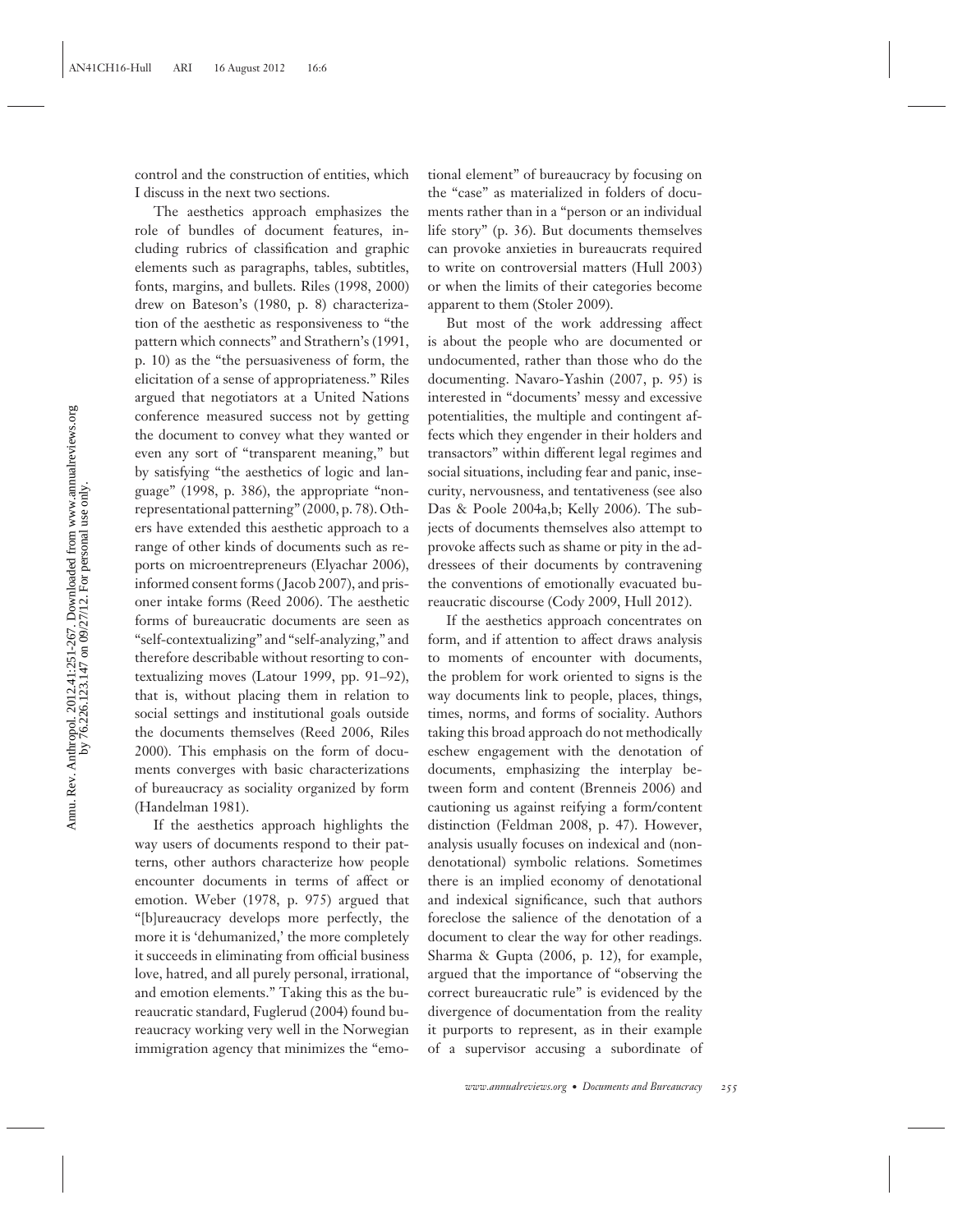control and the construction of entities, which I discuss in the next two sections.

The aesthetics approach emphasizes the role of bundles of document features, including rubrics of classification and graphic elements such as paragraphs, tables, subtitles, fonts, margins, and bullets. Riles (1998, 2000) drew on Bateson's (1980, p. 8) characterization of the aesthetic as responsiveness to "the pattern which connects" and Strathern's (1991, p. 10) as the "the persuasiveness of form, the elicitation of a sense of appropriateness." Riles argued that negotiators at a United Nations conference measured success not by getting the document to convey what they wanted or even any sort of "transparent meaning," but by satisfying "the aesthetics of logic and language" (1998, p. 386), the appropriate "nonrepresentational patterning" (2000, p. 78). Others have extended this aesthetic approach to a range of other kinds of documents such as reports on microentrepreneurs (Elyachar 2006), informed consent forms ( Jacob 2007), and prisoner intake forms (Reed 2006). The aesthetic forms of bureaucratic documents are seen as "self-contextualizing" and "self-analyzing," and therefore describable without resorting to contextualizing moves (Latour 1999, pp. 91–92), that is, without placing them in relation to social settings and institutional goals outside the documents themselves (Reed 2006, Riles 2000). This emphasis on the form of documents converges with basic characterizations of bureaucracy as sociality organized by form (Handelman 1981).

If the aesthetics approach highlights the way users of documents respond to their patterns, other authors characterize how people encounter documents in terms of affect or emotion. Weber (1978, p. 975) argued that "[b]ureaucracy develops more perfectly, the more it is 'dehumanized,' the more completely it succeeds in eliminating from official business love, hatred, and all purely personal, irrational, and emotion elements." Taking this as the bureaucratic standard, Fuglerud (2004) found bureaucracy working very well in the Norwegian immigration agency that minimizes the "emotional element" of bureaucracy by focusing on the "case" as materialized in folders of documents rather than in a "person or an individual life story" (p. 36). But documents themselves can provoke anxieties in bureaucrats required to write on controversial matters (Hull 2003) or when the limits of their categories become apparent to them (Stoler 2009).

But most of the work addressing affect is about the people who are documented or undocumented, rather than those who do the documenting. Navaro-Yashin (2007, p. 95) is interested in "documents' messy and excessive potentialities, the multiple and contingent affects which they engender in their holders and transactors" within different legal regimes and social situations, including fear and panic, insecurity, nervousness, and tentativeness (see also Das & Poole 2004a,b; Kelly 2006). The subjects of documents themselves also attempt to provoke affects such as shame or pity in the addressees of their documents by contravening the conventions of emotionally evacuated bureaucratic discourse (Cody 2009, Hull 2012).

If the aesthetics approach concentrates on form, and if attention to affect draws analysis to moments of encounter with documents, the problem for work oriented to signs is the way documents link to people, places, things, times, norms, and forms of sociality. Authors taking this broad approach do not methodically eschew engagement with the denotation of documents, emphasizing the interplay between form and content (Brenneis 2006) and cautioning us against reifying a form/content distinction (Feldman 2008, p. 47). However, analysis usually focuses on indexical and (nondenotational) symbolic relations. Sometimes there is an implied economy of denotational and indexical significance, such that authors foreclose the salience of the denotation of a document to clear the way for other readings. Sharma & Gupta (2006, p. 12), for example, argued that the importance of "observing the correct bureaucratic rule" is evidenced by the divergence of documentation from the reality it purports to represent, as in their example of a supervisor accusing a subordinate of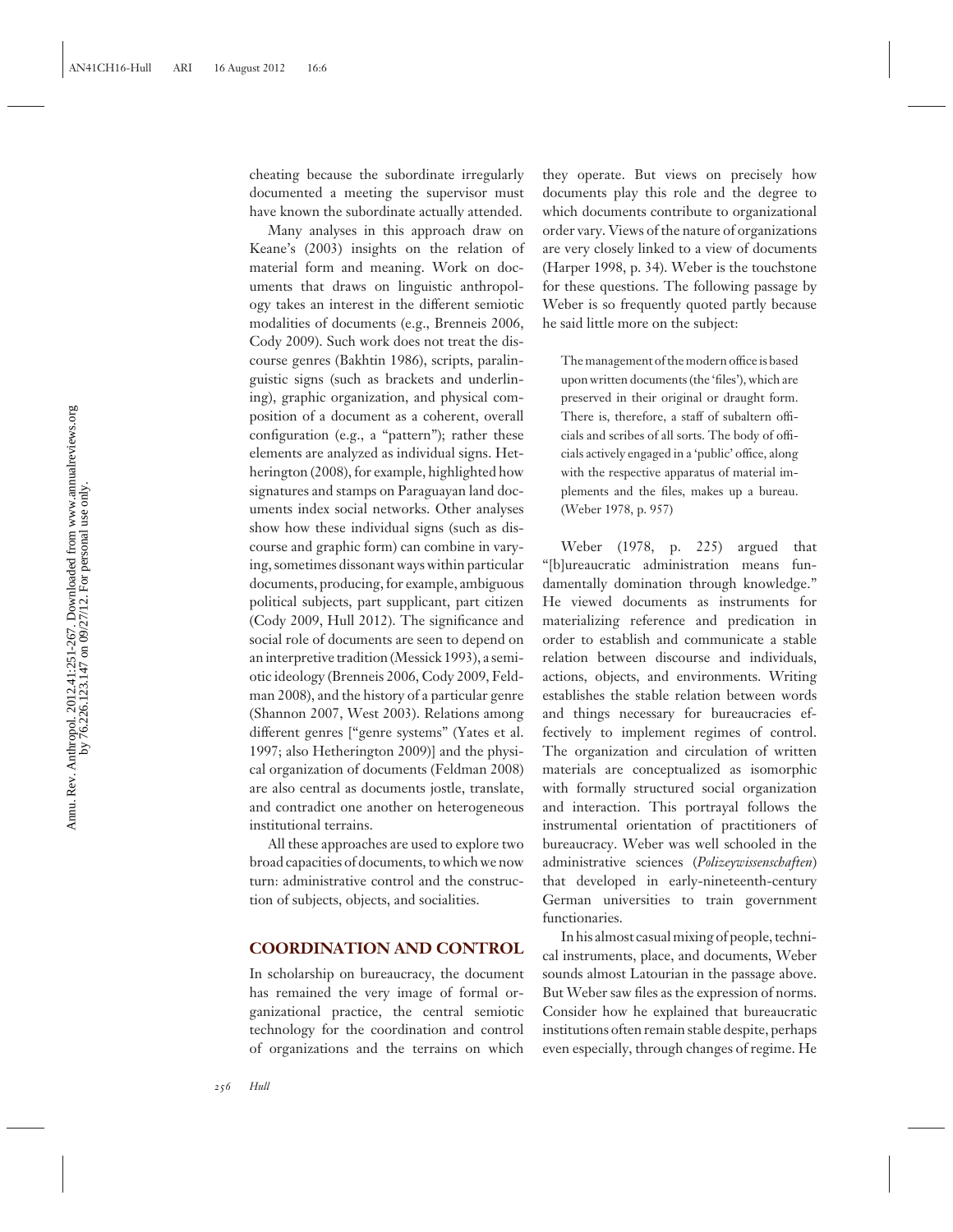cheating because the subordinate irregularly documented a meeting the supervisor must have known the subordinate actually attended.

Many analyses in this approach draw on Keane's (2003) insights on the relation of material form and meaning. Work on documents that draws on linguistic anthropology takes an interest in the different semiotic modalities of documents (e.g., Brenneis 2006, Cody 2009). Such work does not treat the discourse genres (Bakhtin 1986), scripts, paralinguistic signs (such as brackets and underlining), graphic organization, and physical composition of a document as a coherent, overall configuration (e.g., a "pattern"); rather these elements are analyzed as individual signs. Hetherington (2008), for example, highlighted how signatures and stamps on Paraguayan land documents index social networks. Other analyses show how these individual signs (such as discourse and graphic form) can combine in varying, sometimes dissonant ways within particular documents, producing, for example, ambiguous political subjects, part supplicant, part citizen (Cody 2009, Hull 2012). The significance and social role of documents are seen to depend on an interpretive tradition (Messick 1993), a semiotic ideology (Brenneis 2006, Cody 2009, Feldman 2008), and the history of a particular genre (Shannon 2007, West 2003). Relations among different genres ["genre systems" (Yates et al. 1997; also Hetherington 2009)] and the physical organization of documents (Feldman 2008) are also central as documents jostle, translate, and contradict one another on heterogeneous institutional terrains.

All these approaches are used to explore two broad capacities of documents, to which we now turn: administrative control and the construction of subjects, objects, and socialities.

#### **COORDINATION AND CONTROL**

In scholarship on bureaucracy, the document has remained the very image of formal organizational practice, the central semiotic technology for the coordination and control of organizations and the terrains on which

they operate. But views on precisely how documents play this role and the degree to which documents contribute to organizational order vary. Views of the nature of organizations are very closely linked to a view of documents (Harper 1998, p. 34). Weber is the touchstone for these questions. The following passage by Weber is so frequently quoted partly because he said little more on the subject:

The management of the modern office is based upon written documents (the 'files'), which are preserved in their original or draught form. There is, therefore, a staff of subaltern officials and scribes of all sorts. The body of officials actively engaged in a 'public' office, along with the respective apparatus of material implements and the files, makes up a bureau. (Weber 1978, p. 957)

Weber (1978, p. 225) argued that "[b]ureaucratic administration means fundamentally domination through knowledge." He viewed documents as instruments for materializing reference and predication in order to establish and communicate a stable relation between discourse and individuals, actions, objects, and environments. Writing establishes the stable relation between words and things necessary for bureaucracies effectively to implement regimes of control. The organization and circulation of written materials are conceptualized as isomorphic with formally structured social organization and interaction. This portrayal follows the instrumental orientation of practitioners of bureaucracy. Weber was well schooled in the administrative sciences (*Polizeywissenschaften*) that developed in early-nineteenth-century German universities to train government functionaries.

In his almost casual mixing of people, technical instruments, place, and documents, Weber sounds almost Latourian in the passage above. But Weber saw files as the expression of norms. Consider how he explained that bureaucratic institutions often remain stable despite, perhaps even especially, through changes of regime. He

*256 Hull*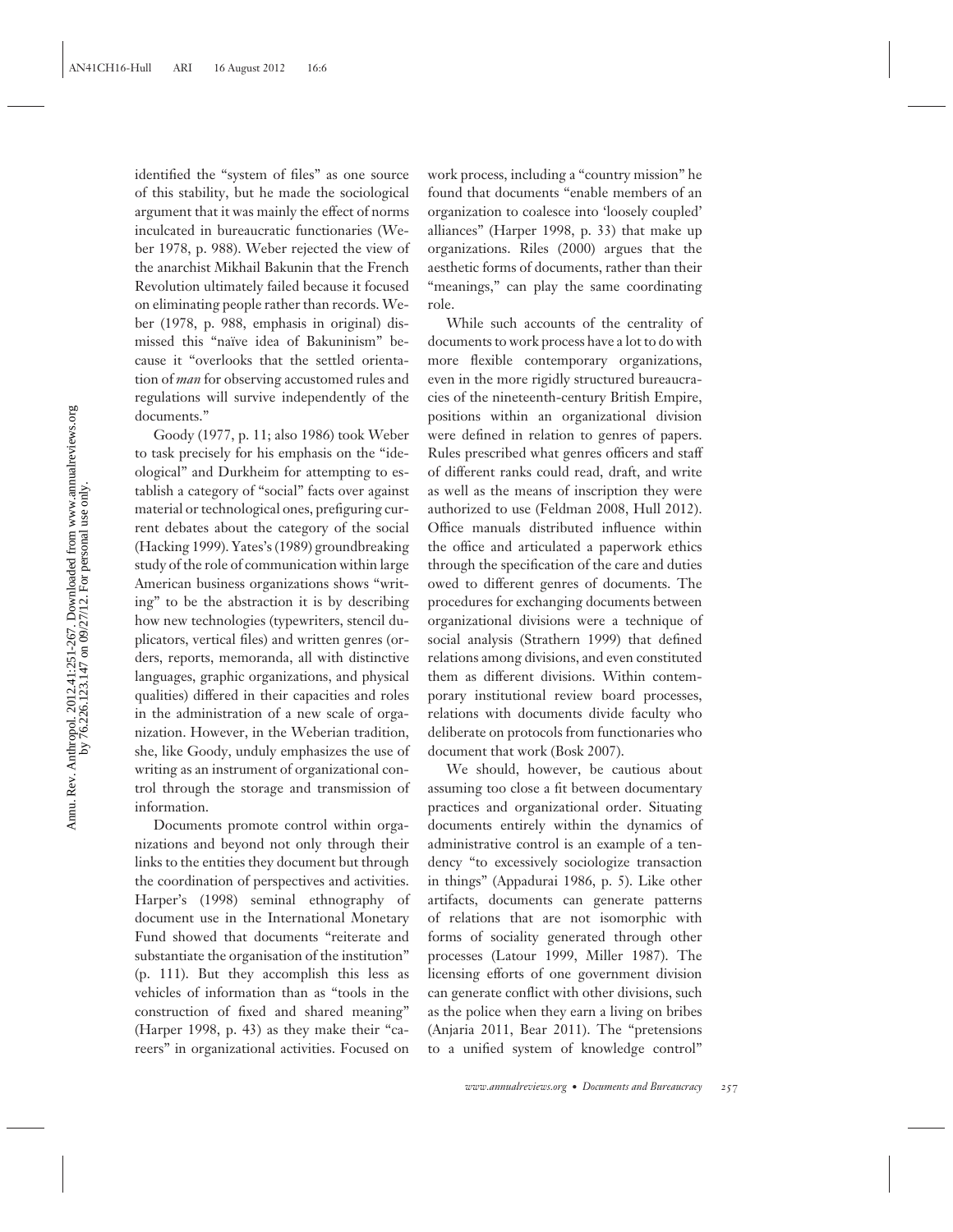identified the "system of files" as one source of this stability, but he made the sociological argument that it was mainly the effect of norms inculcated in bureaucratic functionaries (Weber 1978, p. 988). Weber rejected the view of the anarchist Mikhail Bakunin that the French Revolution ultimately failed because it focused on eliminating people rather than records. Weber (1978, p. 988, emphasis in original) dismissed this "naïve idea of Bakuninism" because it "overlooks that the settled orientation of *man* for observing accustomed rules and regulations will survive independently of the documents."

Goody (1977, p. 11; also 1986) took Weber to task precisely for his emphasis on the "ideological" and Durkheim for attempting to establish a category of "social" facts over against material or technological ones, prefiguring current debates about the category of the social (Hacking 1999). Yates's (1989) groundbreaking study of the role of communication within large American business organizations shows "writing" to be the abstraction it is by describing how new technologies (typewriters, stencil duplicators, vertical files) and written genres (orders, reports, memoranda, all with distinctive languages, graphic organizations, and physical qualities) differed in their capacities and roles in the administration of a new scale of organization. However, in the Weberian tradition, she, like Goody, unduly emphasizes the use of writing as an instrument of organizational control through the storage and transmission of information.

Documents promote control within organizations and beyond not only through their links to the entities they document but through the coordination of perspectives and activities. Harper's (1998) seminal ethnography of document use in the International Monetary Fund showed that documents "reiterate and substantiate the organisation of the institution" (p. 111). But they accomplish this less as vehicles of information than as "tools in the construction of fixed and shared meaning" (Harper 1998, p. 43) as they make their "careers" in organizational activities. Focused on

work process, including a "country mission" he found that documents "enable members of an organization to coalesce into 'loosely coupled' alliances" (Harper 1998, p. 33) that make up organizations. Riles (2000) argues that the aesthetic forms of documents, rather than their "meanings," can play the same coordinating role.

While such accounts of the centrality of documents to work process have a lot to do with more flexible contemporary organizations, even in the more rigidly structured bureaucracies of the nineteenth-century British Empire, positions within an organizational division were defined in relation to genres of papers. Rules prescribed what genres officers and staff of different ranks could read, draft, and write as well as the means of inscription they were authorized to use (Feldman 2008, Hull 2012). Office manuals distributed influence within the office and articulated a paperwork ethics through the specification of the care and duties owed to different genres of documents. The procedures for exchanging documents between organizational divisions were a technique of social analysis (Strathern 1999) that defined relations among divisions, and even constituted them as different divisions. Within contemporary institutional review board processes, relations with documents divide faculty who deliberate on protocols from functionaries who document that work (Bosk 2007).

We should, however, be cautious about assuming too close a fit between documentary practices and organizational order. Situating documents entirely within the dynamics of administrative control is an example of a tendency "to excessively sociologize transaction in things" (Appadurai 1986, p. 5). Like other artifacts, documents can generate patterns of relations that are not isomorphic with forms of sociality generated through other processes (Latour 1999, Miller 1987). The licensing efforts of one government division can generate conflict with other divisions, such as the police when they earn a living on bribes (Anjaria 2011, Bear 2011). The "pretensions to a unified system of knowledge control"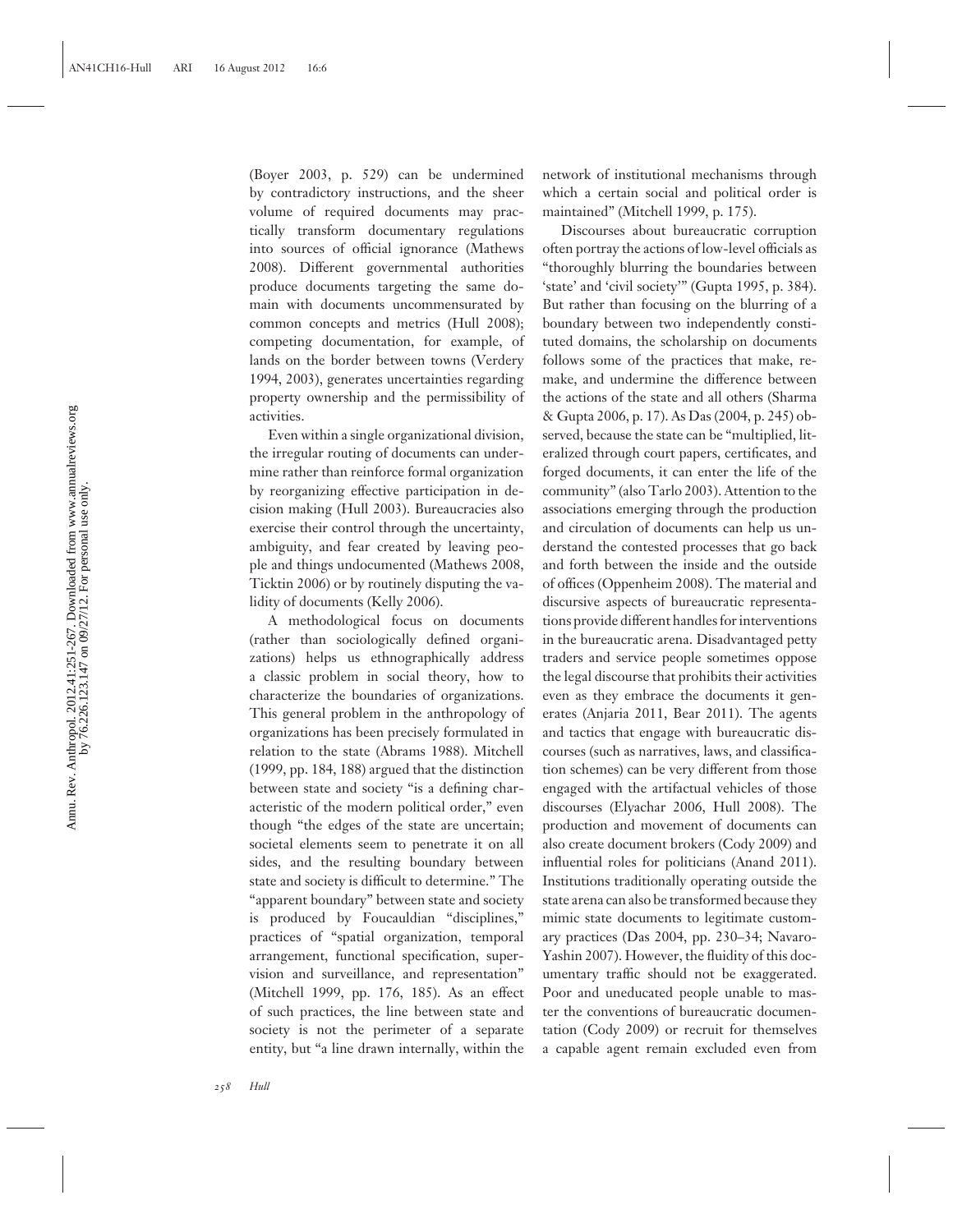(Boyer 2003, p. 529) can be undermined by contradictory instructions, and the sheer volume of required documents may practically transform documentary regulations into sources of official ignorance (Mathews 2008). Different governmental authorities produce documents targeting the same domain with documents uncommensurated by common concepts and metrics (Hull 2008); competing documentation, for example, of lands on the border between towns (Verdery 1994, 2003), generates uncertainties regarding property ownership and the permissibility of activities.

Even within a single organizational division, the irregular routing of documents can undermine rather than reinforce formal organization by reorganizing effective participation in decision making (Hull 2003). Bureaucracies also exercise their control through the uncertainty, ambiguity, and fear created by leaving people and things undocumented (Mathews 2008, Ticktin 2006) or by routinely disputing the validity of documents (Kelly 2006).

A methodological focus on documents (rather than sociologically defined organizations) helps us ethnographically address a classic problem in social theory, how to characterize the boundaries of organizations. This general problem in the anthropology of organizations has been precisely formulated in relation to the state (Abrams 1988). Mitchell (1999, pp. 184, 188) argued that the distinction between state and society "is a defining characteristic of the modern political order," even though "the edges of the state are uncertain; societal elements seem to penetrate it on all sides, and the resulting boundary between state and society is difficult to determine." The "apparent boundary" between state and society is produced by Foucauldian "disciplines," practices of "spatial organization, temporal arrangement, functional specification, supervision and surveillance, and representation" (Mitchell 1999, pp. 176, 185). As an effect of such practices, the line between state and society is not the perimeter of a separate entity, but "a line drawn internally, within the

network of institutional mechanisms through which a certain social and political order is maintained" (Mitchell 1999, p. 175).

Discourses about bureaucratic corruption often portray the actions of low-level officials as "thoroughly blurring the boundaries between 'state' and 'civil society'" (Gupta 1995, p. 384). But rather than focusing on the blurring of a boundary between two independently constituted domains, the scholarship on documents follows some of the practices that make, remake, and undermine the difference between the actions of the state and all others (Sharma & Gupta 2006, p. 17). As Das (2004, p. 245) observed, because the state can be "multiplied, literalized through court papers, certificates, and forged documents, it can enter the life of the community" (also Tarlo 2003). Attention to the associations emerging through the production and circulation of documents can help us understand the contested processes that go back and forth between the inside and the outside of offices (Oppenheim 2008). The material and discursive aspects of bureaucratic representations provide different handles for interventions in the bureaucratic arena. Disadvantaged petty traders and service people sometimes oppose the legal discourse that prohibits their activities even as they embrace the documents it generates (Anjaria 2011, Bear 2011). The agents and tactics that engage with bureaucratic discourses (such as narratives, laws, and classification schemes) can be very different from those engaged with the artifactual vehicles of those discourses (Elyachar 2006, Hull 2008). The production and movement of documents can also create document brokers (Cody 2009) and influential roles for politicians (Anand 2011). Institutions traditionally operating outside the state arena can also be transformed because they mimic state documents to legitimate customary practices (Das 2004, pp. 230–34; Navaro-Yashin 2007). However, the fluidity of this documentary traffic should not be exaggerated. Poor and uneducated people unable to master the conventions of bureaucratic documentation (Cody 2009) or recruit for themselves a capable agent remain excluded even from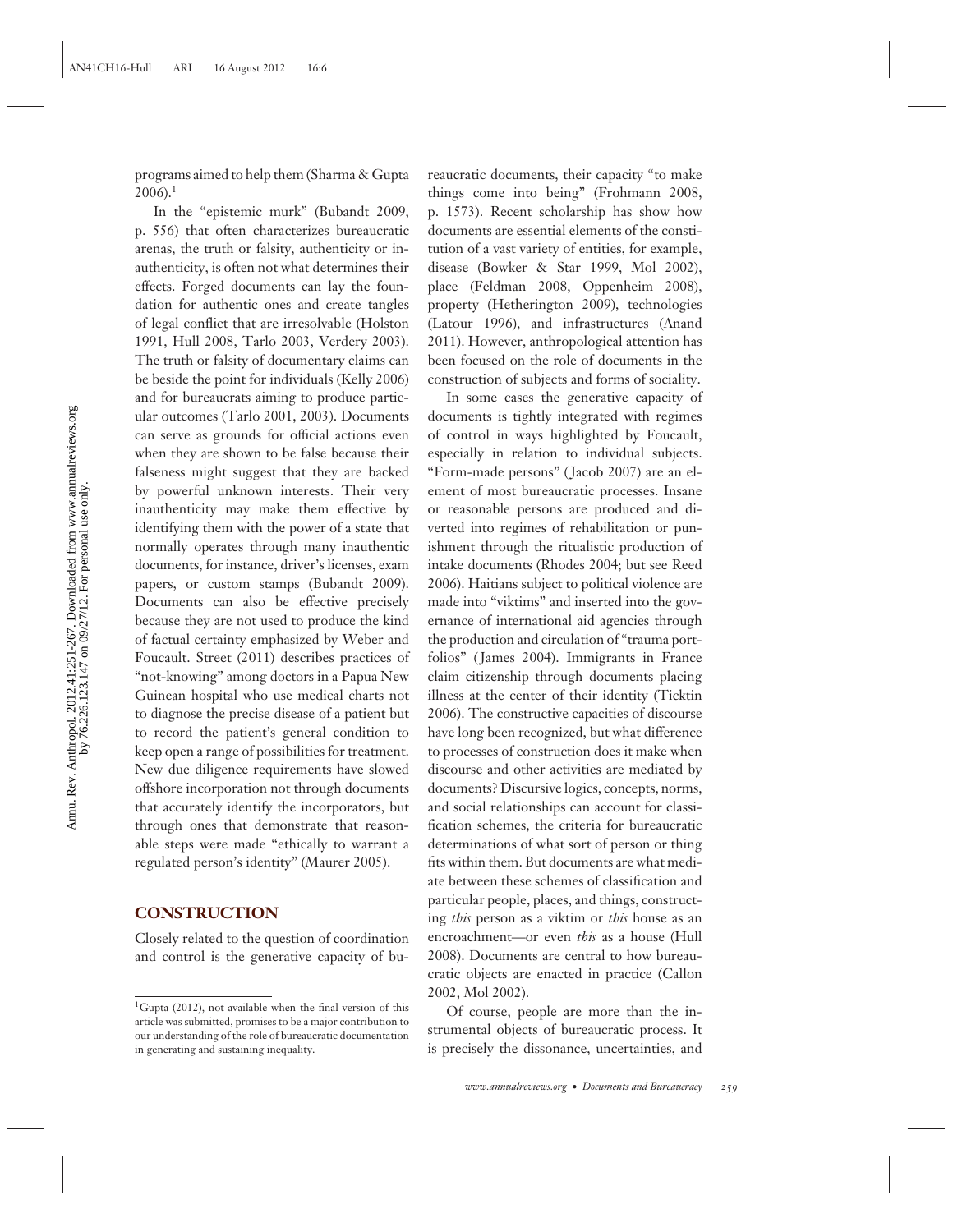programs aimed to help them (Sharma & Gupta  $2006$ ).<sup>1</sup>

In the "epistemic murk" (Bubandt 2009, p. 556) that often characterizes bureaucratic arenas, the truth or falsity, authenticity or inauthenticity, is often not what determines their effects. Forged documents can lay the foundation for authentic ones and create tangles of legal conflict that are irresolvable (Holston 1991, Hull 2008, Tarlo 2003, Verdery 2003). The truth or falsity of documentary claims can be beside the point for individuals (Kelly 2006) and for bureaucrats aiming to produce particular outcomes (Tarlo 2001, 2003). Documents can serve as grounds for official actions even when they are shown to be false because their falseness might suggest that they are backed by powerful unknown interests. Their very inauthenticity may make them effective by identifying them with the power of a state that normally operates through many inauthentic documents, for instance, driver's licenses, exam papers, or custom stamps (Bubandt 2009). Documents can also be effective precisely because they are not used to produce the kind of factual certainty emphasized by Weber and Foucault. Street (2011) describes practices of "not-knowing" among doctors in a Papua New Guinean hospital who use medical charts not to diagnose the precise disease of a patient but to record the patient's general condition to keep open a range of possibilities for treatment. New due diligence requirements have slowed offshore incorporation not through documents that accurately identify the incorporators, but through ones that demonstrate that reasonable steps were made "ethically to warrant a regulated person's identity" (Maurer 2005).

#### **CONSTRUCTION**

Closely related to the question of coordination and control is the generative capacity of bureaucratic documents, their capacity "to make things come into being" (Frohmann 2008, p. 1573). Recent scholarship has show how documents are essential elements of the constitution of a vast variety of entities, for example, disease (Bowker & Star 1999, Mol 2002), place (Feldman 2008, Oppenheim 2008), property (Hetherington 2009), technologies (Latour 1996), and infrastructures (Anand 2011). However, anthropological attention has been focused on the role of documents in the construction of subjects and forms of sociality.

In some cases the generative capacity of documents is tightly integrated with regimes of control in ways highlighted by Foucault, especially in relation to individual subjects. "Form-made persons" ( Jacob 2007) are an element of most bureaucratic processes. Insane or reasonable persons are produced and diverted into regimes of rehabilitation or punishment through the ritualistic production of intake documents (Rhodes 2004; but see Reed 2006). Haitians subject to political violence are made into "viktims" and inserted into the governance of international aid agencies through the production and circulation of "trauma portfolios" ( James 2004). Immigrants in France claim citizenship through documents placing illness at the center of their identity (Ticktin 2006). The constructive capacities of discourse have long been recognized, but what difference to processes of construction does it make when discourse and other activities are mediated by documents? Discursive logics, concepts, norms, and social relationships can account for classification schemes, the criteria for bureaucratic determinations of what sort of person or thing fits within them. But documents are what mediate between these schemes of classification and particular people, places, and things, constructing *this* person as a viktim or *this* house as an encroachment—or even *this* as a house (Hull 2008). Documents are central to how bureaucratic objects are enacted in practice (Callon 2002, Mol 2002).

Of course, people are more than the instrumental objects of bureaucratic process. It is precisely the dissonance, uncertainties, and

<sup>&</sup>lt;sup>1</sup>Gupta (2012), not available when the final version of this article was submitted, promises to be a major contribution to our understanding of the role of bureaucratic documentation in generating and sustaining inequality.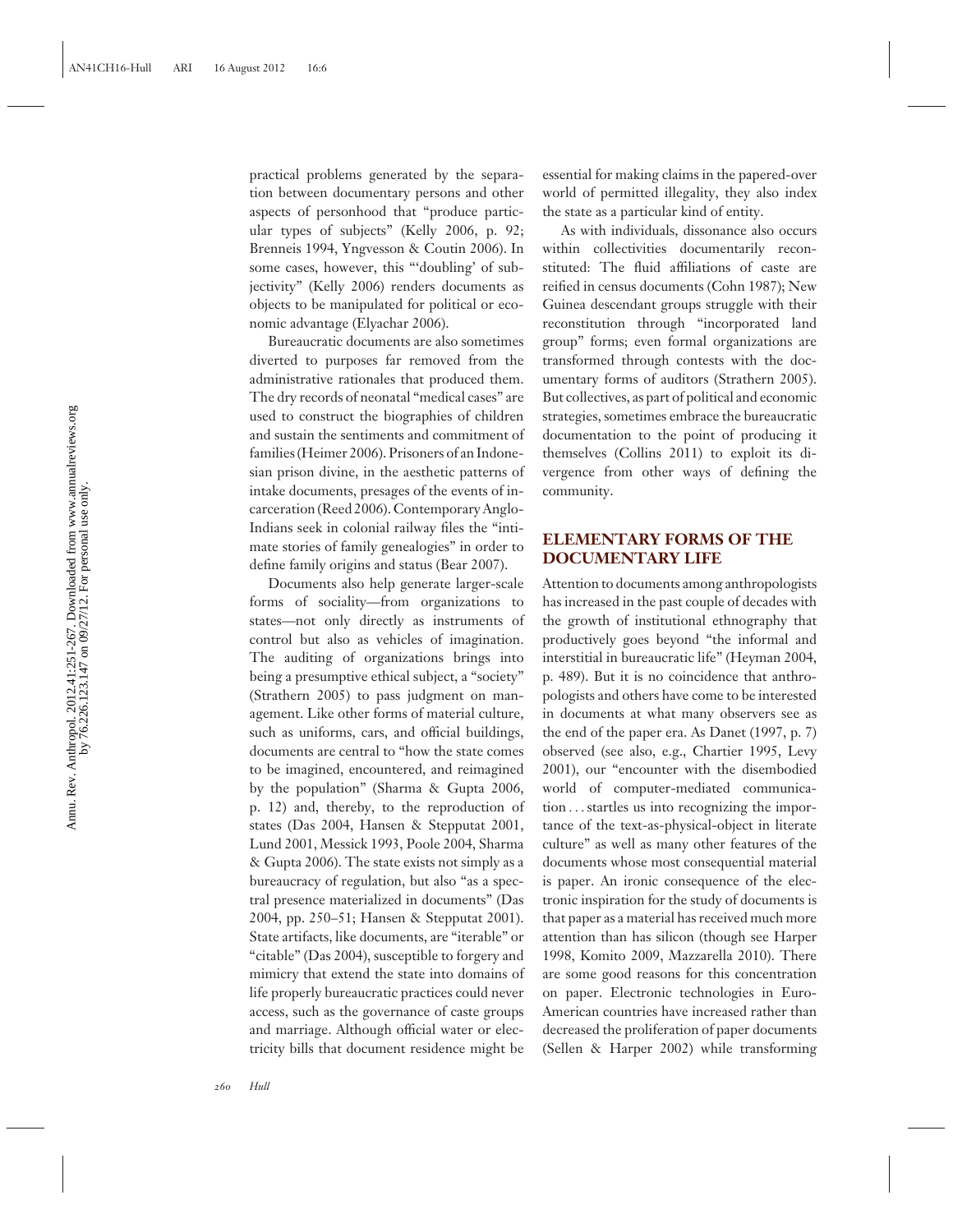Annu. Rev. Anthropol. 2012.41:251-267. Downloaded from www.annualreviews.org<br>by 76.226.123.147 on 09/27/12. For personal use only. Annu. Rev. Anthropol. 2012.41:251-267. Downloaded from www.annualreviews.org by 76.226.123.147 on 09/27/12. For personal use only.

practical problems generated by the separation between documentary persons and other aspects of personhood that "produce particular types of subjects" (Kelly 2006, p. 92; Brenneis 1994, Yngvesson & Coutin 2006). In some cases, however, this "'doubling' of subjectivity" (Kelly 2006) renders documents as objects to be manipulated for political or economic advantage (Elyachar 2006).

Bureaucratic documents are also sometimes diverted to purposes far removed from the administrative rationales that produced them. The dry records of neonatal "medical cases" are used to construct the biographies of children and sustain the sentiments and commitment of families (Heimer 2006). Prisoners of an Indonesian prison divine, in the aesthetic patterns of intake documents, presages of the events of incarceration (Reed 2006). Contemporary Anglo-Indians seek in colonial railway files the "intimate stories of family genealogies" in order to define family origins and status (Bear 2007).

Documents also help generate larger-scale forms of sociality—from organizations to states—not only directly as instruments of control but also as vehicles of imagination. The auditing of organizations brings into being a presumptive ethical subject, a "society" (Strathern 2005) to pass judgment on management. Like other forms of material culture, such as uniforms, cars, and official buildings, documents are central to "how the state comes to be imagined, encountered, and reimagined by the population" (Sharma & Gupta 2006, p. 12) and, thereby, to the reproduction of states (Das 2004, Hansen & Stepputat 2001, Lund 2001, Messick 1993, Poole 2004, Sharma & Gupta 2006). The state exists not simply as a bureaucracy of regulation, but also "as a spectral presence materialized in documents" (Das 2004, pp. 250–51; Hansen & Stepputat 2001). State artifacts, like documents, are "iterable" or "citable" (Das 2004), susceptible to forgery and mimicry that extend the state into domains of life properly bureaucratic practices could never access, such as the governance of caste groups and marriage. Although official water or electricity bills that document residence might be

essential for making claims in the papered-over world of permitted illegality, they also index the state as a particular kind of entity.

As with individuals, dissonance also occurs within collectivities documentarily reconstituted: The fluid affiliations of caste are reified in census documents (Cohn 1987); New Guinea descendant groups struggle with their reconstitution through "incorporated land group" forms; even formal organizations are transformed through contests with the documentary forms of auditors (Strathern 2005). But collectives, as part of political and economic strategies, sometimes embrace the bureaucratic documentation to the point of producing it themselves (Collins 2011) to exploit its divergence from other ways of defining the community.

### **ELEMENTARY FORMS OF THE DOCUMENTARY LIFE**

Attention to documents among anthropologists has increased in the past couple of decades with the growth of institutional ethnography that productively goes beyond "the informal and interstitial in bureaucratic life" (Heyman 2004, p. 489). But it is no coincidence that anthropologists and others have come to be interested in documents at what many observers see as the end of the paper era. As Danet (1997, p. 7) observed (see also, e.g., Chartier 1995, Levy 2001), our "encounter with the disembodied world of computer-mediated communication ...startles us into recognizing the importance of the text-as-physical-object in literate culture" as well as many other features of the documents whose most consequential material is paper. An ironic consequence of the electronic inspiration for the study of documents is that paper as a material has received much more attention than has silicon (though see Harper 1998, Komito 2009, Mazzarella 2010). There are some good reasons for this concentration on paper. Electronic technologies in Euro-American countries have increased rather than decreased the proliferation of paper documents (Sellen & Harper 2002) while transforming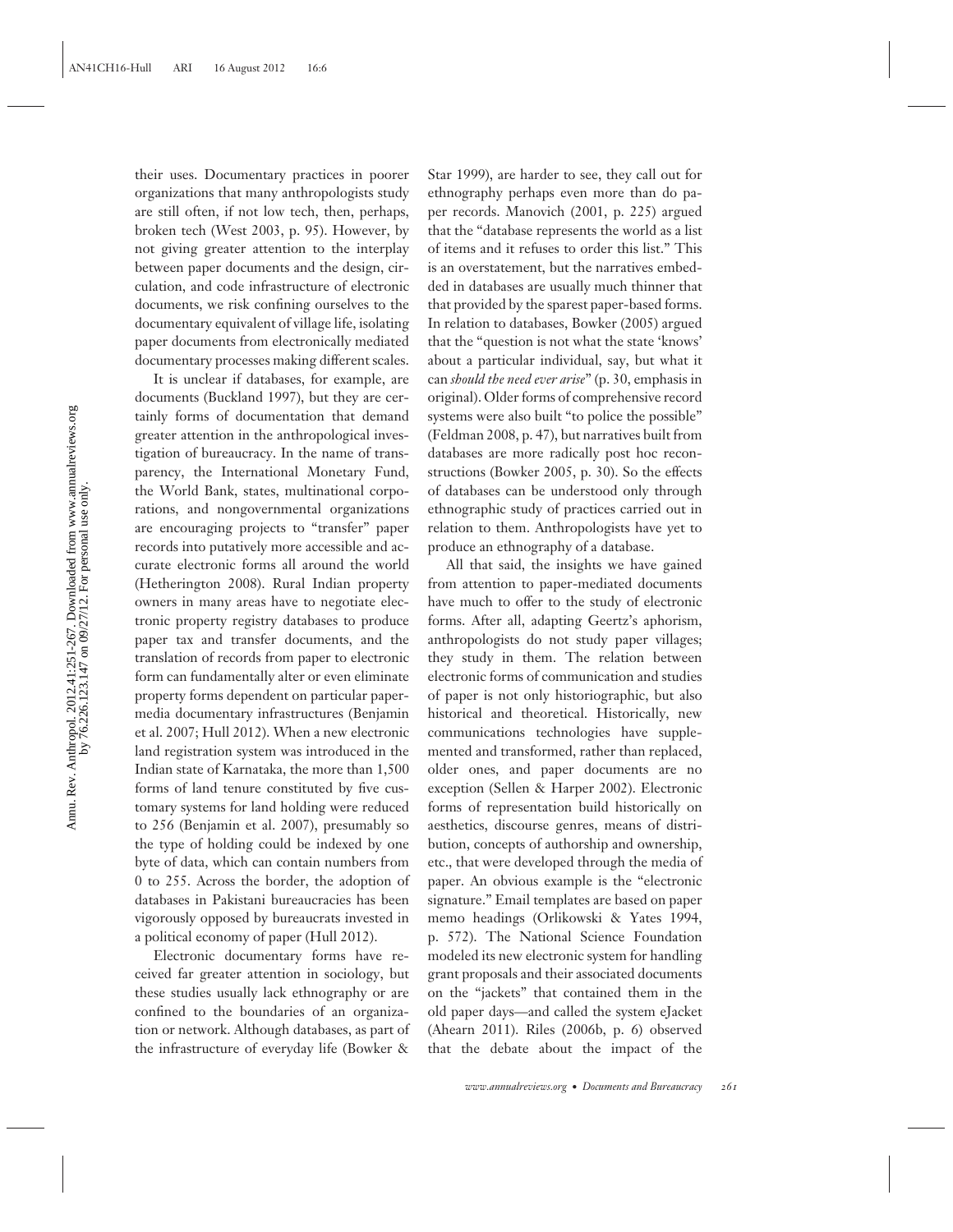their uses. Documentary practices in poorer organizations that many anthropologists study are still often, if not low tech, then, perhaps, broken tech (West 2003, p. 95). However, by not giving greater attention to the interplay between paper documents and the design, circulation, and code infrastructure of electronic documents, we risk confining ourselves to the documentary equivalent of village life, isolating paper documents from electronically mediated documentary processes making different scales.

It is unclear if databases, for example, are documents (Buckland 1997), but they are certainly forms of documentation that demand greater attention in the anthropological investigation of bureaucracy. In the name of transparency, the International Monetary Fund, the World Bank, states, multinational corporations, and nongovernmental organizations are encouraging projects to "transfer" paper records into putatively more accessible and accurate electronic forms all around the world (Hetherington 2008). Rural Indian property owners in many areas have to negotiate electronic property registry databases to produce paper tax and transfer documents, and the translation of records from paper to electronic form can fundamentally alter or even eliminate property forms dependent on particular papermedia documentary infrastructures (Benjamin et al. 2007; Hull 2012). When a new electronic land registration system was introduced in the Indian state of Karnataka, the more than 1,500 forms of land tenure constituted by five customary systems for land holding were reduced to 256 (Benjamin et al. 2007), presumably so the type of holding could be indexed by one byte of data, which can contain numbers from 0 to 255. Across the border, the adoption of databases in Pakistani bureaucracies has been vigorously opposed by bureaucrats invested in a political economy of paper (Hull 2012).

Electronic documentary forms have received far greater attention in sociology, but these studies usually lack ethnography or are confined to the boundaries of an organization or network. Although databases, as part of the infrastructure of everyday life (Bowker &

Star 1999), are harder to see, they call out for ethnography perhaps even more than do paper records. Manovich (2001, p. 225) argued that the "database represents the world as a list of items and it refuses to order this list." This is an overstatement, but the narratives embedded in databases are usually much thinner that that provided by the sparest paper-based forms. In relation to databases, Bowker (2005) argued that the "question is not what the state 'knows' about a particular individual, say, but what it can *should the need ever arise*" (p. 30, emphasis in original). Older forms of comprehensive record systems were also built "to police the possible" (Feldman 2008, p. 47), but narratives built from databases are more radically post hoc reconstructions (Bowker 2005, p. 30). So the effects of databases can be understood only through ethnographic study of practices carried out in relation to them. Anthropologists have yet to produce an ethnography of a database.

All that said, the insights we have gained from attention to paper-mediated documents have much to offer to the study of electronic forms. After all, adapting Geertz's aphorism, anthropologists do not study paper villages; they study in them. The relation between electronic forms of communication and studies of paper is not only historiographic, but also historical and theoretical. Historically, new communications technologies have supplemented and transformed, rather than replaced, older ones, and paper documents are no exception (Sellen & Harper 2002). Electronic forms of representation build historically on aesthetics, discourse genres, means of distribution, concepts of authorship and ownership, etc., that were developed through the media of paper. An obvious example is the "electronic signature." Email templates are based on paper memo headings (Orlikowski & Yates 1994, p. 572). The National Science Foundation modeled its new electronic system for handling grant proposals and their associated documents on the "jackets" that contained them in the old paper days—and called the system eJacket (Ahearn 2011). Riles (2006b, p. 6) observed that the debate about the impact of the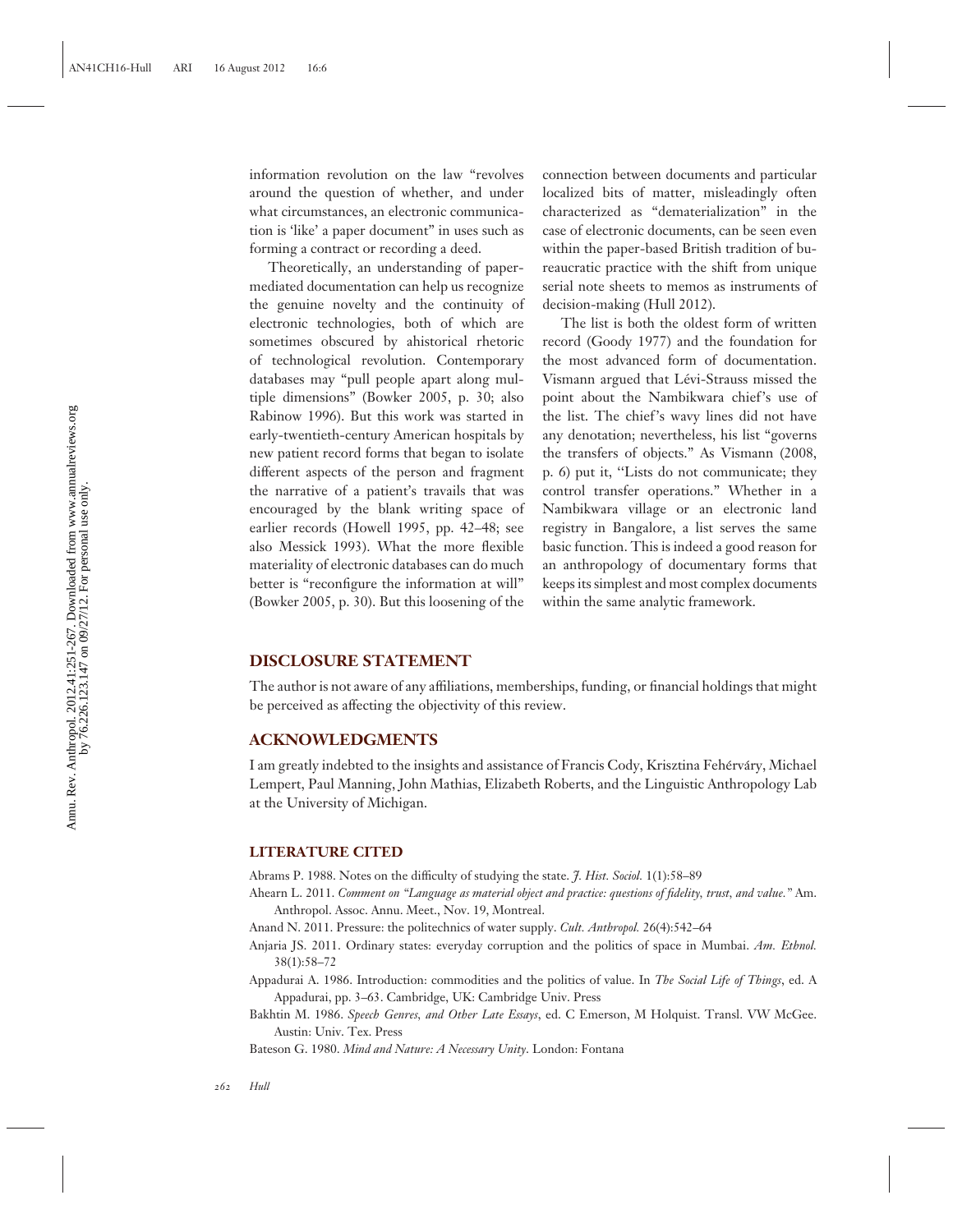information revolution on the law "revolves around the question of whether, and under what circumstances, an electronic communication is 'like' a paper document" in uses such as forming a contract or recording a deed.

Theoretically, an understanding of papermediated documentation can help us recognize the genuine novelty and the continuity of electronic technologies, both of which are sometimes obscured by ahistorical rhetoric of technological revolution. Contemporary databases may "pull people apart along multiple dimensions" (Bowker 2005, p. 30; also Rabinow 1996). But this work was started in early-twentieth-century American hospitals by new patient record forms that began to isolate different aspects of the person and fragment the narrative of a patient's travails that was encouraged by the blank writing space of earlier records (Howell 1995, pp. 42–48; see also Messick 1993). What the more flexible materiality of electronic databases can do much better is "reconfigure the information at will" (Bowker 2005, p. 30). But this loosening of the

connection between documents and particular localized bits of matter, misleadingly often characterized as "dematerialization" in the case of electronic documents, can be seen even within the paper-based British tradition of bureaucratic practice with the shift from unique serial note sheets to memos as instruments of decision-making (Hull 2012).

The list is both the oldest form of written record (Goody 1977) and the foundation for the most advanced form of documentation. Vismann argued that Lévi-Strauss missed the point about the Nambikwara chief's use of the list. The chief's wavy lines did not have any denotation; nevertheless, his list "governs the transfers of objects." As Vismann (2008, p. 6) put it, ''Lists do not communicate; they control transfer operations." Whether in a Nambikwara village or an electronic land registry in Bangalore, a list serves the same basic function. This is indeed a good reason for an anthropology of documentary forms that keeps its simplest and most complex documents within the same analytic framework.

#### **DISCLOSURE STATEMENT**

The author is not aware of any affiliations, memberships, funding, or financial holdings that might be perceived as affecting the objectivity of this review.

#### **ACKNOWLEDGMENTS**

I am greatly indebted to the insights and assistance of Francis Cody, Krisztina Fehérváry, Michael Lempert, Paul Manning, John Mathias, Elizabeth Roberts, and the Linguistic Anthropology Lab at the University of Michigan.

#### **LITERATURE CITED**

Abrams P. 1988. Notes on the difficulty of studying the state. *J. Hist. Sociol.* 1(1):58–89

Ahearn L. 2011. *Comment on "Language as material object and practice: questions of fidelity, trust, and value."* Am. Anthropol. Assoc. Annu. Meet., Nov. 19, Montreal.

Anand N. 2011. Pressure: the politechnics of water supply. *Cult. Anthropol.* 26(4):542–64

- Anjaria JS. 2011. Ordinary states: everyday corruption and the politics of space in Mumbai. *Am. Ethnol.* 38(1):58–72
- Appadurai A. 1986. Introduction: commodities and the politics of value. In *The Social Life of Things*, ed. A Appadurai, pp. 3–63. Cambridge, UK: Cambridge Univ. Press
- Bakhtin M. 1986. *Speech Genres, and Other Late Essays*, ed. C Emerson, M Holquist. Transl. VW McGee. Austin: Univ. Tex. Press

Bateson G. 1980. *Mind and Nature: A Necessary Unity*. London: Fontana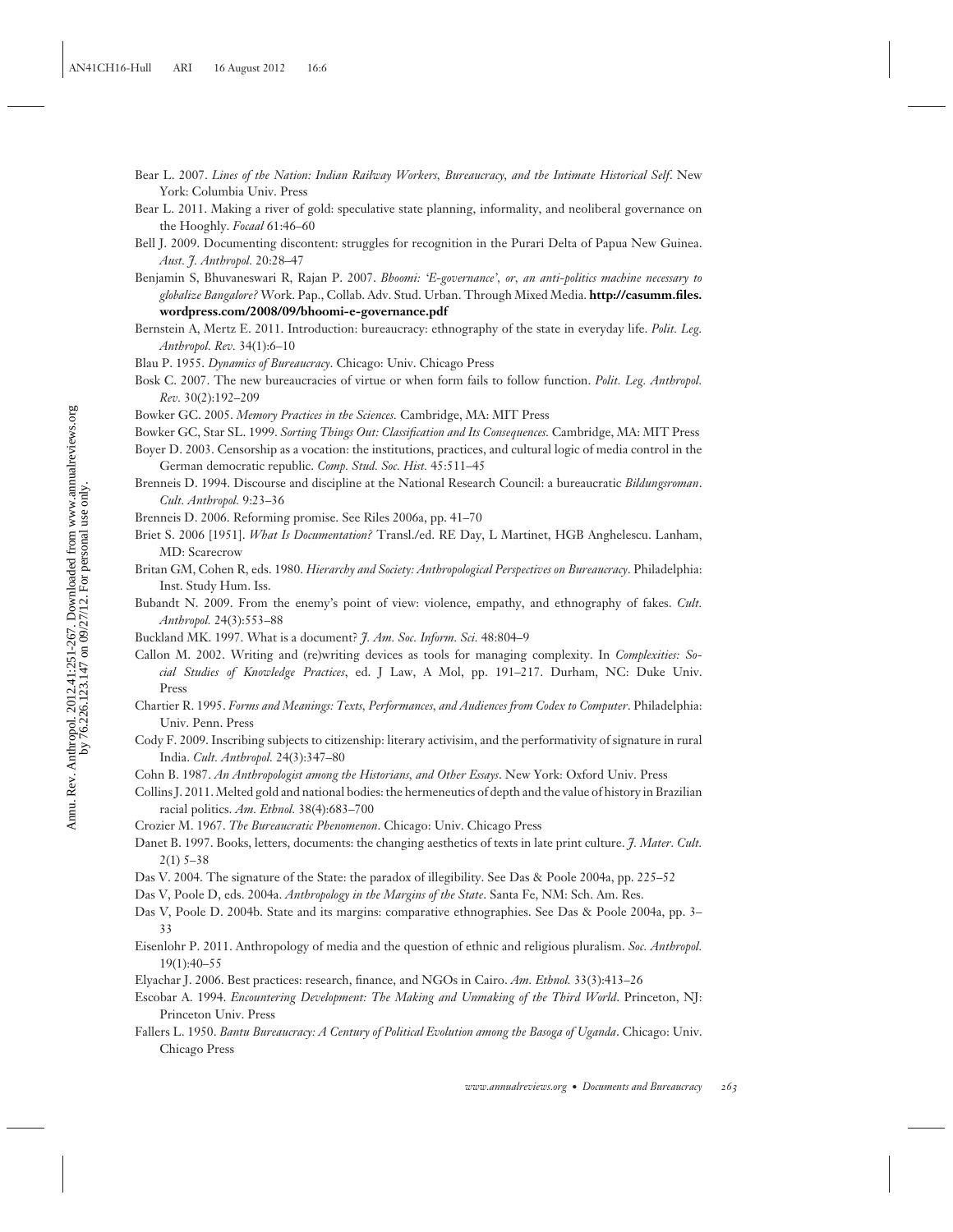Annu. Rev. Anthropol. 2012.41:251-267. Downloaded from www.annualreviews.org<br>by  $76.226.123.147$  on 09/27/12. For personal use only. Annu. Rev. Anthropol. 2012.41:251-267. Downloaded from www.annualreviews.org by 76.226.123.147 on 09/27/12. For personal use only.

- Bear L. 2007. *Lines of the Nation: Indian Railway Workers, Bureaucracy, and the Intimate Historical Self*. New York: Columbia Univ. Press
- Bear L. 2011. Making a river of gold: speculative state planning, informality, and neoliberal governance on the Hooghly. *Focaal* 61:46–60
- Bell J. 2009. Documenting discontent: struggles for recognition in the Purari Delta of Papua New Guinea. *Aust. J. Anthropol.* 20:28–47

Benjamin S, Bhuvaneswari R, Rajan P. 2007. *Bhoomi: 'E-governance', or, an anti-politics machine necessary to globalize Bangalore?* Work. Pap., Collab. Adv. Stud. Urban. Through Mixed Media. **[http://casumm.files.](http://casumm.files.wordpress.com/2008/09/bhoomi-e-governance.pdf) [wordpress.com/2008/09/bhoomi-e-governance.pdf](http://casumm.files.wordpress.com/2008/09/bhoomi-e-governance.pdf)**

- Bernstein A, Mertz E. 2011. Introduction: bureaucracy: ethnography of the state in everyday life. *Polit. Leg. Anthropol. Rev.* 34(1):6–10
- Blau P. 1955. *Dynamics of Bureaucracy*. Chicago: Univ. Chicago Press
- Bosk C. 2007. The new bureaucracies of virtue or when form fails to follow function. *Polit. Leg. Anthropol. Rev.* 30(2):192–209

Bowker GC. 2005. *Memory Practices in the Sciences.* Cambridge, MA: MIT Press

Bowker GC, Star SL. 1999. *Sorting Things Out: Classification and Its Consequences.* Cambridge, MA: MIT Press

- Boyer D. 2003. Censorship as a vocation: the institutions, practices, and cultural logic of media control in the German democratic republic. *Comp. Stud. Soc. Hist.* 45:511–45
- Brenneis D. 1994. Discourse and discipline at the National Research Council: a bureaucratic *Bildungsroman*. *Cult. Anthropol.* 9:23–36
- Brenneis D. 2006. Reforming promise. See Riles 2006a, pp. 41–70
- Briet S. 2006 [1951]. *What Is Documentation?* Transl./ed. RE Day, L Martinet, HGB Anghelescu. Lanham, MD: Scarecrow
- Britan GM, Cohen R, eds. 1980. *Hierarchy and Society: Anthropological Perspectives on Bureaucracy*. Philadelphia: Inst. Study Hum. Iss.
- Bubandt N. 2009. From the enemy's point of view: violence, empathy, and ethnography of fakes. *Cult. Anthropol.* 24(3):553–88
- Buckland MK. 1997. What is a document? *J. Am. Soc. Inform. Sci.* 48:804–9
- Callon M. 2002. Writing and (re)writing devices as tools for managing complexity. In *Complexities: Social Studies of Knowledge Practices*, ed. J Law, A Mol, pp. 191–217. Durham, NC: Duke Univ. Press
- Chartier R. 1995. *Forms and Meanings: Texts, Performances, and Audiences from Codex to Computer*. Philadelphia: Univ. Penn. Press
- Cody F. 2009. Inscribing subjects to citizenship: literary activisim, and the performativity of signature in rural India. *Cult. Anthropol.* 24(3):347–80
- Cohn B. 1987. *An Anthropologist among the Historians, and Other Essays*. New York: Oxford Univ. Press
- Collins J. 2011. Melted gold and national bodies: the hermeneutics of depth and the value of history in Brazilian racial politics. *Am. Ethnol.* 38(4):683–700
- Crozier M. 1967. *The Bureaucratic Phenomenon*. Chicago: Univ. Chicago Press
- Danet B. 1997. Books, letters, documents: the changing aesthetics of texts in late print culture. *J. Mater. Cult.* 2(1) 5–38
- Das V. 2004. The signature of the State: the paradox of illegibility. See Das & Poole 2004a, pp. 225–52
- Das V, Poole D, eds. 2004a. *Anthropology in the Margins of the State*. Santa Fe, NM: Sch. Am. Res.
- Das V, Poole D. 2004b. State and its margins: comparative ethnographies. See Das & Poole 2004a, pp. 3– 33
- Eisenlohr P. 2011. Anthropology of media and the question of ethnic and religious pluralism. *Soc. Anthropol.* 19(1):40–55
- Elyachar J. 2006. Best practices: research, finance, and NGOs in Cairo. *Am. Ethnol.* 33(3):413–26
- Escobar A. 1994. *Encountering Development: The Making and Unmaking of the Third World*. Princeton, NJ: Princeton Univ. Press
- Fallers L. 1950. *Bantu Bureaucracy: A Century of Political Evolution among the Basoga of Uganda*. Chicago: Univ. Chicago Press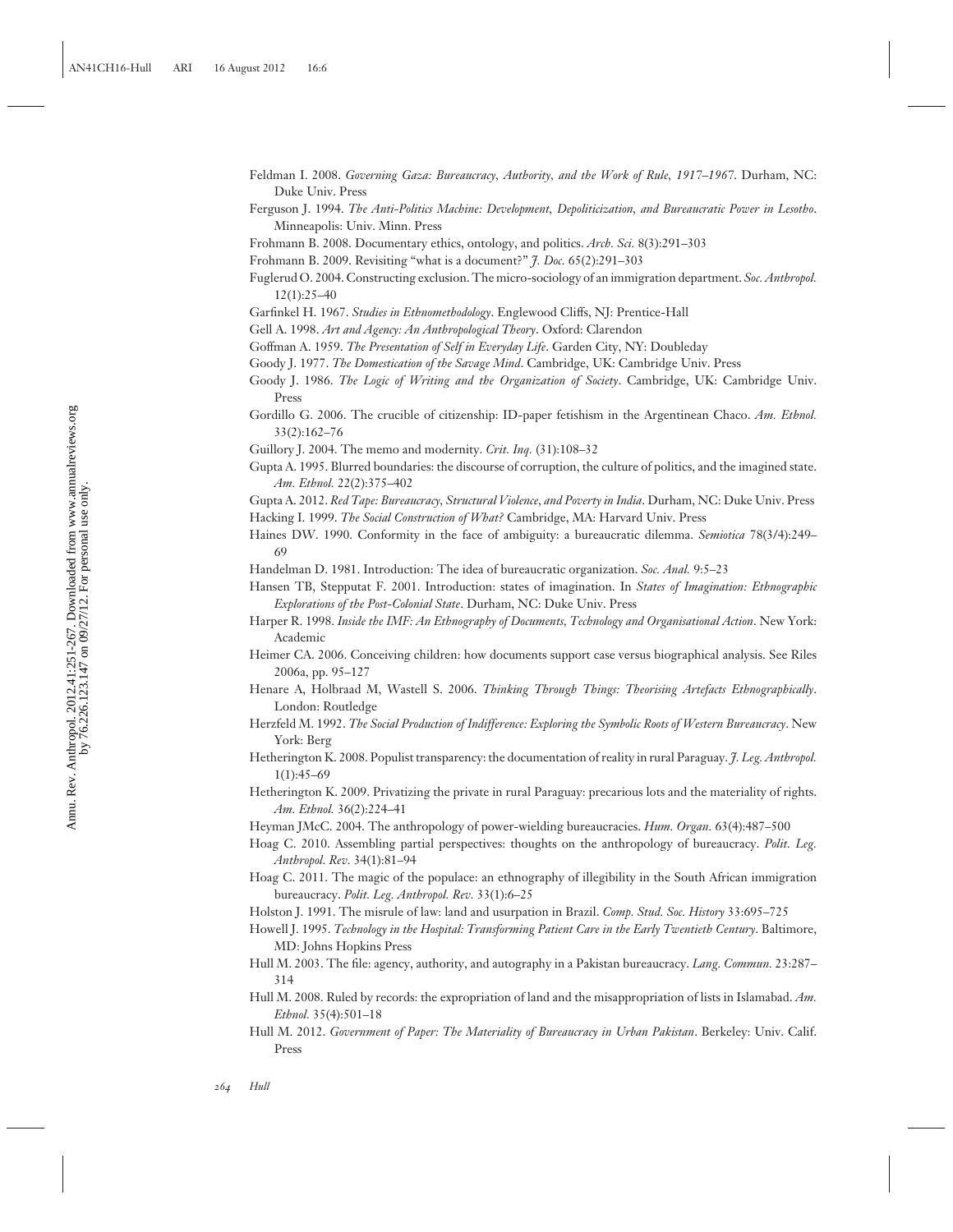- Feldman I. 2008. *Governing Gaza: Bureaucracy, Authority, and the Work of Rule, 1917–1967*. Durham, NC: Duke Univ. Press
- Ferguson J. 1994. *The Anti-Politics Machine: Development, Depoliticization, and Bureaucratic Power in Lesotho*. Minneapolis: Univ. Minn. Press

Frohmann B. 2008. Documentary ethics, ontology, and politics. *Arch. Sci.* 8(3):291–303

Frohmann B. 2009. Revisiting "what is a document?" *J. Doc.* 65(2):291–303

- Fuglerud O. 2004. Constructing exclusion. The micro-sociology of an immigration department. *Soc. Anthropol.* 12(1):25–40
- Garfinkel H. 1967. *Studies in Ethnomethodology*. Englewood Cliffs, NJ: Prentice-Hall
- Gell A. 1998. *Art and Agency: An Anthropological Theory*. Oxford: Clarendon
- Goffman A. 1959. *The Presentation of Self in Everyday Life*. Garden City, NY: Doubleday
- Goody J. 1977. *The Domestication of the Savage Mind*. Cambridge, UK: Cambridge Univ. Press
- Goody J. 1986. *The Logic of Writing and the Organization of Society*. Cambridge, UK: Cambridge Univ. Press
- Gordillo G. 2006. The crucible of citizenship: ID-paper fetishism in the Argentinean Chaco. *Am. Ethnol.* 33(2):162–76
- Guillory J. 2004. The memo and modernity. *Crit. Inq.* (31):108–32
- Gupta A. 1995. Blurred boundaries: the discourse of corruption, the culture of politics, and the imagined state. *Am. Ethnol.* 22(2):375–402

Gupta A. 2012. *Red Tape: Bureaucracy, Structural Violence, and Poverty in India*. Durham, NC: Duke Univ. Press

- Hacking I. 1999. *The Social Construction of What?* Cambridge, MA: Harvard Univ. Press
- Haines DW. 1990. Conformity in the face of ambiguity: a bureaucratic dilemma. *Semiotica* 78(3/4):249– 69

Handelman D. 1981. Introduction: The idea of bureaucratic organization. *Soc. Anal.* 9:5–23

- Hansen TB, Stepputat F. 2001. Introduction: states of imagination. In *States of Imagination: Ethnographic Explorations of the Post-Colonial State*. Durham, NC: Duke Univ. Press
- Harper R. 1998. *Inside the IMF: An Ethnography of Documents, Technology and Organisational Action*. New York: Academic
- Heimer CA. 2006. Conceiving children: how documents support case versus biographical analysis. See Riles 2006a, pp. 95–127
- Henare A, Holbraad M, Wastell S. 2006. *Thinking Through Things: Theorising Artefacts Ethnographically*. London: Routledge
- Herzfeld M. 1992. *The Social Production of Indifference: Exploring the Symbolic Roots of Western Bureaucracy*. New York: Berg
- Hetherington K. 2008. Populist transparency: the documentation of reality in rural Paraguay. *J. Leg. Anthropol.* 1(1):45–69
- Hetherington K. 2009. Privatizing the private in rural Paraguay: precarious lots and the materiality of rights. *Am. Ethnol.* 36(2):224–41
- Heyman JMcC. 2004. The anthropology of power-wielding bureaucracies. *Hum. Organ.* 63(4):487–500
- Hoag C. 2010. Assembling partial perspectives: thoughts on the anthropology of bureaucracy. *Polit. Leg. Anthropol. Rev.* 34(1):81–94
- Hoag C. 2011. The magic of the populace: an ethnography of illegibility in the South African immigration bureaucracy. *Polit. Leg. Anthropol. Rev.* 33(1):6–25

Holston J. 1991. The misrule of law: land and usurpation in Brazil. *Comp. Stud. Soc. History* 33:695–725

- Howell J. 1995. *Technology in the Hospital: Transforming Patient Care in the Early Twentieth Century*. Baltimore, MD: Johns Hopkins Press
- Hull M. 2003. The file: agency, authority, and autography in a Pakistan bureaucracy. *Lang. Commun.* 23:287– 314
- Hull M. 2008. Ruled by records: the expropriation of land and the misappropriation of lists in Islamabad. *Am. Ethnol.* 35(4):501–18
- Hull M. 2012. *Government of Paper: The Materiality of Bureaucracy in Urban Pakistan*. Berkeley: Univ. Calif. Press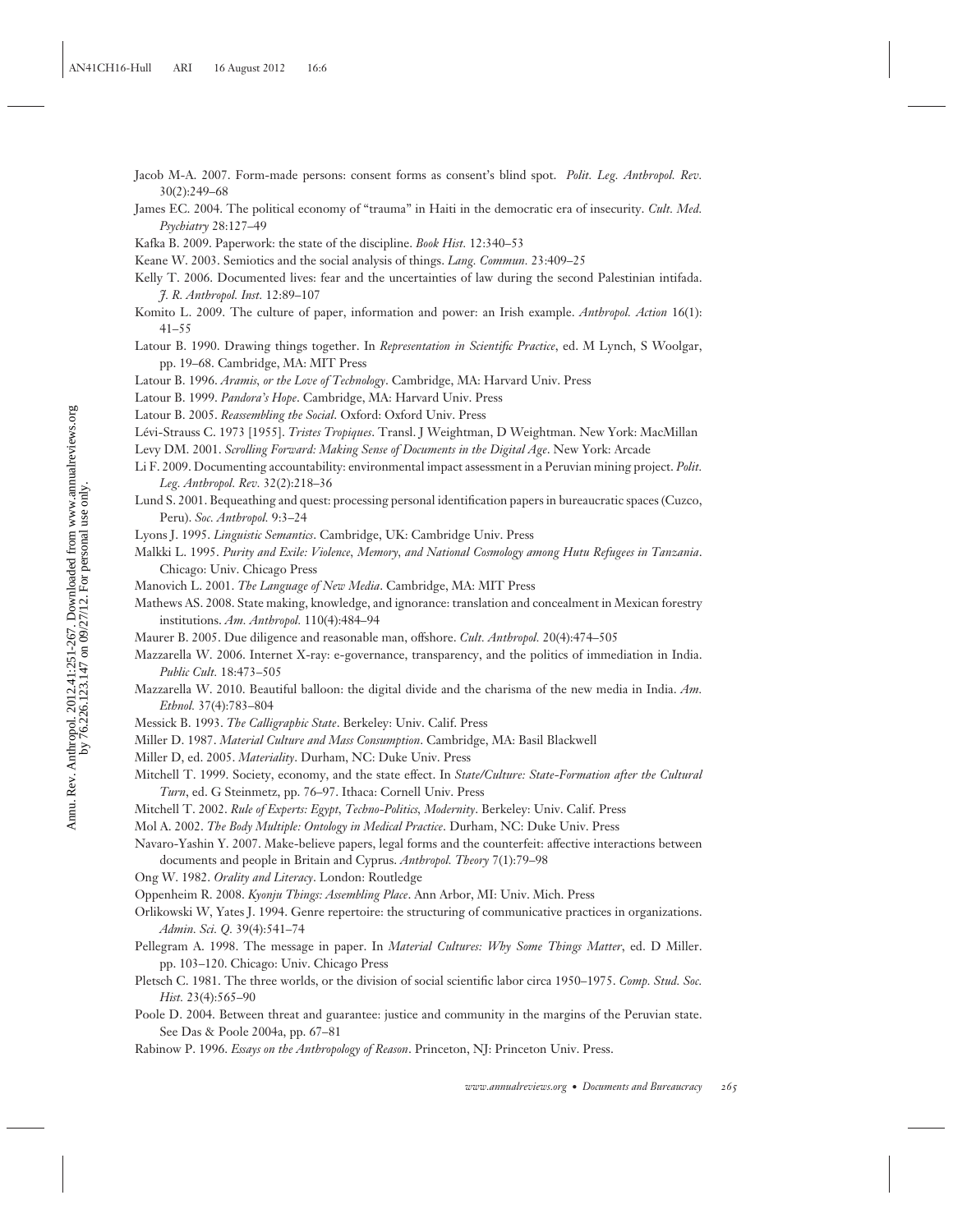- Jacob M-A. 2007. Form-made persons: consent forms as consent's blind spot. *Polit. Leg. Anthropol. Rev.* 30(2):249–68
- James EC. 2004. The political economy of "trauma" in Haiti in the democratic era of insecurity. *Cult. Med. Psychiatry* 28:127–49
- Kafka B. 2009. Paperwork: the state of the discipline. *Book Hist.* 12:340–53
- Keane W. 2003. Semiotics and the social analysis of things. *Lang. Commun.* 23:409–25
- Kelly T. 2006. Documented lives: fear and the uncertainties of law during the second Palestinian intifada. *J. R. Anthropol. Inst.* 12:89–107
- Komito L. 2009. The culture of paper, information and power: an Irish example. *Anthropol. Action* 16(1): 41–55
- Latour B. 1990. Drawing things together. In *Representation in Scientific Practice*, ed. M Lynch, S Woolgar, pp. 19–68. Cambridge, MA: MIT Press
- Latour B. 1996. *Aramis, or the Love of Technology*. Cambridge, MA: Harvard Univ. Press
- Latour B. 1999. *Pandora's Hope*. Cambridge, MA: Harvard Univ. Press
- Latour B. 2005. *Reassembling the Social*. Oxford: Oxford Univ. Press
- Lévi-Strauss C. 1973 [1955]. *Tristes Tropiques*. Transl. J Weightman, D Weightman. New York: MacMillan
- Levy DM. 2001. *Scrolling Forward: Making Sense of Documents in the Digital Age*. New York: Arcade
- Li F. 2009. Documenting accountability: environmental impact assessment in a Peruvian mining project. *Polit. Leg. Anthropol. Rev.* 32(2):218–36
- Lund S. 2001. Bequeathing and quest: processing personal identification papers in bureaucratic spaces (Cuzco, Peru). *Soc. Anthropol.* 9:3–24
- Lyons J. 1995. *Linguistic Semantics*. Cambridge, UK: Cambridge Univ. Press
- Malkki L. 1995. *Purity and Exile: Violence, Memory, and National Cosmology among Hutu Refugees in Tanzania*. Chicago: Univ. Chicago Press
- Manovich L. 2001. *The Language of New Media*. Cambridge, MA: MIT Press
- Mathews AS. 2008. State making, knowledge, and ignorance: translation and concealment in Mexican forestry institutions. *Am. Anthropol.* 110(4):484–94
- Maurer B. 2005. Due diligence and reasonable man, offshore. *Cult. Anthropol.* 20(4):474–505
- Mazzarella W. 2006. Internet X-ray: e-governance, transparency, and the politics of immediation in India. *Public Cult.* 18:473–505
- Mazzarella W. 2010. Beautiful balloon: the digital divide and the charisma of the new media in India. *Am. Ethnol.* 37(4):783–804
- Messick B. 1993. *The Calligraphic State*. Berkeley: Univ. Calif. Press
- Miller D. 1987. *Material Culture and Mass Consumption*. Cambridge, MA: Basil Blackwell
- Miller D, ed. 2005. *Materiality*. Durham, NC: Duke Univ. Press
- Mitchell T. 1999. Society, economy, and the state effect. In *State/Culture: State-Formation after the Cultural Turn*, ed. G Steinmetz, pp. 76–97. Ithaca: Cornell Univ. Press
- Mitchell T. 2002. *Rule of Experts: Egypt, Techno-Politics, Modernity*. Berkeley: Univ. Calif. Press
- Mol A. 2002. *The Body Multiple: Ontology in Medical Practice*. Durham, NC: Duke Univ. Press
- Navaro-Yashin Y. 2007. Make-believe papers, legal forms and the counterfeit: affective interactions between documents and people in Britain and Cyprus. *Anthropol. Theory* 7(1):79–98
- Ong W. 1982. *Orality and Literacy*. London: Routledge
- Oppenheim R. 2008. *Kyonju Things: Assembling Place*. Ann Arbor, MI: Univ. Mich. Press
- Orlikowski W, Yates J. 1994. Genre repertoire: the structuring of communicative practices in organizations. *Admin. Sci. Q.* 39(4):541–74
- Pellegram A. 1998. The message in paper. In *Material Cultures: Why Some Things Matter*, ed. D Miller. pp. 103–120. Chicago: Univ. Chicago Press
- Pletsch C. 1981. The three worlds, or the division of social scientific labor circa 1950–1975. *Comp. Stud. Soc. Hist.* 23(4):565–90
- Poole D. 2004. Between threat and guarantee: justice and community in the margins of the Peruvian state. See Das & Poole 2004a, pp. 67–81
- Rabinow P. 1996. *Essays on the Anthropology of Reason*. Princeton, NJ: Princeton Univ. Press.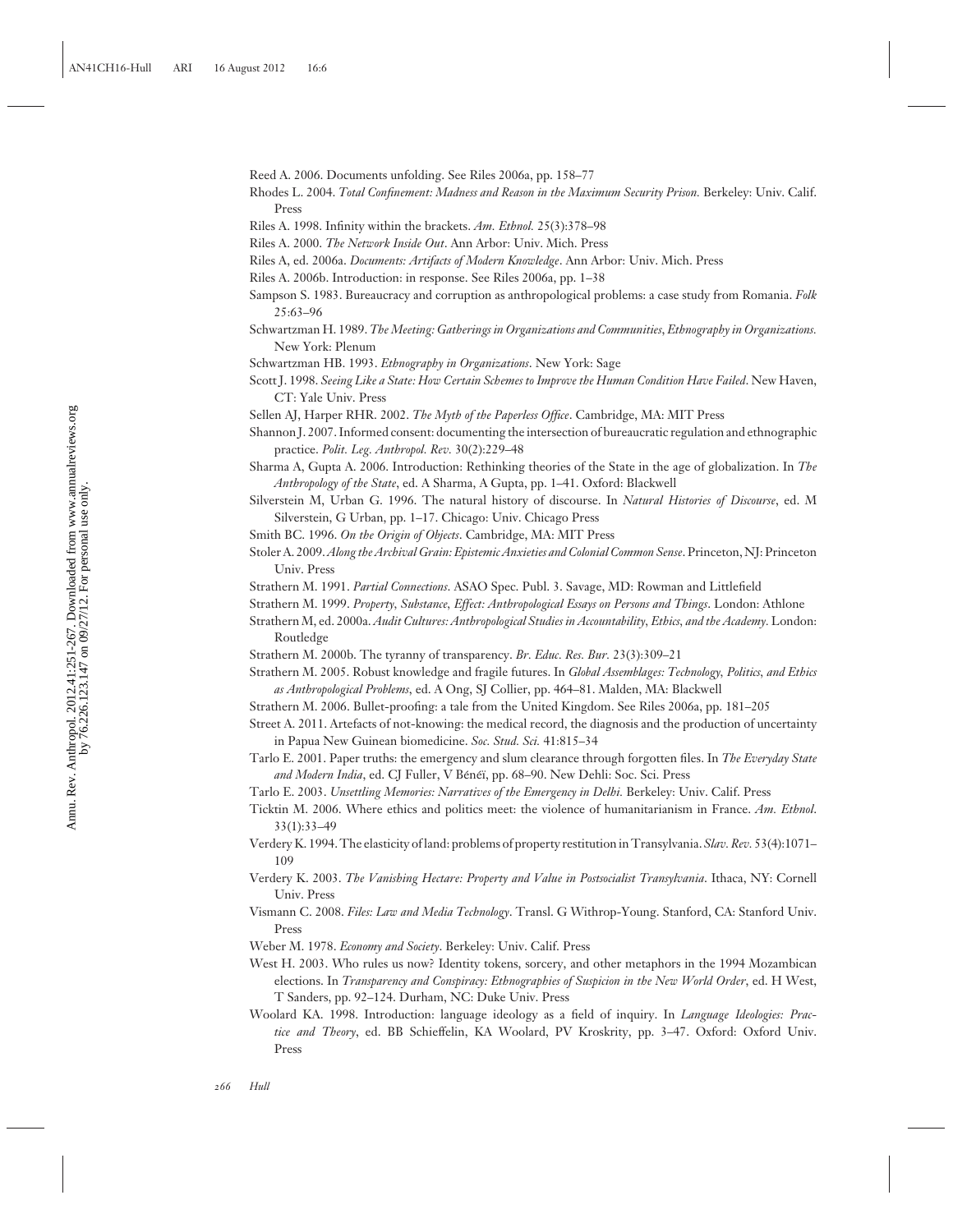Reed A. 2006. Documents unfolding. See Riles 2006a, pp. 158–77

- Rhodes L. 2004. *Total Confinement: Madness and Reason in the Maximum Security Prison.* Berkeley: Univ. Calif. Press
- Riles A. 1998. Infinity within the brackets. *Am. Ethnol.* 25(3):378–98
- Riles A. 2000. *The Network Inside Out*. Ann Arbor: Univ. Mich. Press
- Riles A, ed. 2006a. *Documents: Artifacts of Modern Knowledge*. Ann Arbor: Univ. Mich. Press
- Riles A. 2006b. Introduction: in response. See Riles 2006a, pp. 1–38
- Sampson S. 1983. Bureaucracy and corruption as anthropological problems: a case study from Romania. *Folk* 25:63–96
- Schwartzman H. 1989. *The Meeting: Gatherings in Organizations and Communities*, *Ethnography in Organizations.* New York: Plenum
- Schwartzman HB. 1993. *Ethnography in Organizations*. New York: Sage
- Scott J. 1998. Seeing Like a State: How Certain Schemes to Improve the Human Condition Have Failed. New Haven, CT: Yale Univ. Press
- Sellen AJ, Harper RHR. 2002. *The Myth of the Paperless Office*. Cambridge, MA: MIT Press
- Shannon J. 2007. Informed consent: documenting the intersection of bureaucratic regulation and ethnographic practice. *Polit. Leg. Anthropol. Rev.* 30(2):229–48
- Sharma A, Gupta A. 2006. Introduction: Rethinking theories of the State in the age of globalization. In *The Anthropology of the State*, ed. A Sharma, A Gupta, pp. 1–41. Oxford: Blackwell
- Silverstein M, Urban G. 1996. The natural history of discourse. In *Natural Histories of Discourse*, ed. M Silverstein, G Urban, pp. 1–17. Chicago: Univ. Chicago Press
- Smith BC. 1996. *On the Origin of Objects*. Cambridge, MA: MIT Press
- Stoler A. 2009.*Along the Archival Grain: Epistemic Anxieties and Colonial Common Sense*. Princeton, NJ: Princeton Univ. Press
- Strathern M. 1991. *Partial Connections*. ASAO Spec. Publ. 3. Savage, MD: Rowman and Littlefield
- Strathern M. 1999. *Property, Substance, Effect: Anthropological Essays on Persons and Things*. London: Athlone
- Strathern M, ed. 2000a. *Audit Cultures: Anthropological Studies in Accountability, Ethics, and the Academy.* London: Routledge
- Strathern M. 2000b. The tyranny of transparency. *Br. Educ. Res. Bur.* 23(3):309–21
- Strathern M. 2005. Robust knowledge and fragile futures. In *Global Assemblages: Technology, Politics, and Ethics as Anthropological Problems*, ed. A Ong, SJ Collier, pp. 464–81. Malden, MA: Blackwell
- Strathern M. 2006. Bullet-proofing: a tale from the United Kingdom. See Riles 2006a, pp. 181–205
- Street A. 2011. Artefacts of not-knowing: the medical record, the diagnosis and the production of uncertainty in Papua New Guinean biomedicine. *Soc. Stud. Sci.* 41:815–34
- Tarlo E. 2001. Paper truths: the emergency and slum clearance through forgotten files. In *The Everyday State* and Modern India, ed. CJ Fuller, V Bénéï, pp. 68-90. New Dehli: Soc. Sci. Press
- Tarlo E. 2003. *Unsettling Memories: Narratives of the Emergency in Delhi.* Berkeley: Univ. Calif. Press
- Ticktin M. 2006. Where ethics and politics meet: the violence of humanitarianism in France. *Am. Ethnol*. 33(1):33–49
- Verdery K. 1994. The elasticity of land: problems of property restitution in Transylvania. *Slav. Rev.* 53(4):1071– 109
- Verdery K. 2003. *The Vanishing Hectare: Property and Value in Postsocialist Transylvania*. Ithaca, NY: Cornell Univ. Press
- Vismann C. 2008. *Files: Law and Media Technology*. Transl. G Withrop-Young. Stanford, CA: Stanford Univ. Press
- Weber M. 1978. *Economy and Society*. Berkeley: Univ. Calif. Press
- West H. 2003. Who rules us now? Identity tokens, sorcery, and other metaphors in the 1994 Mozambican elections. In *Transparency and Conspiracy: Ethnographies of Suspicion in the New World Order*, ed. H West, T Sanders, pp. 92–124. Durham, NC: Duke Univ. Press
- Woolard KA. 1998. Introduction: language ideology as a field of inquiry. In *Language Ideologies: Practice and Theory*, ed. BB Schieffelin, KA Woolard, PV Kroskrity, pp. 3–47. Oxford: Oxford Univ. Press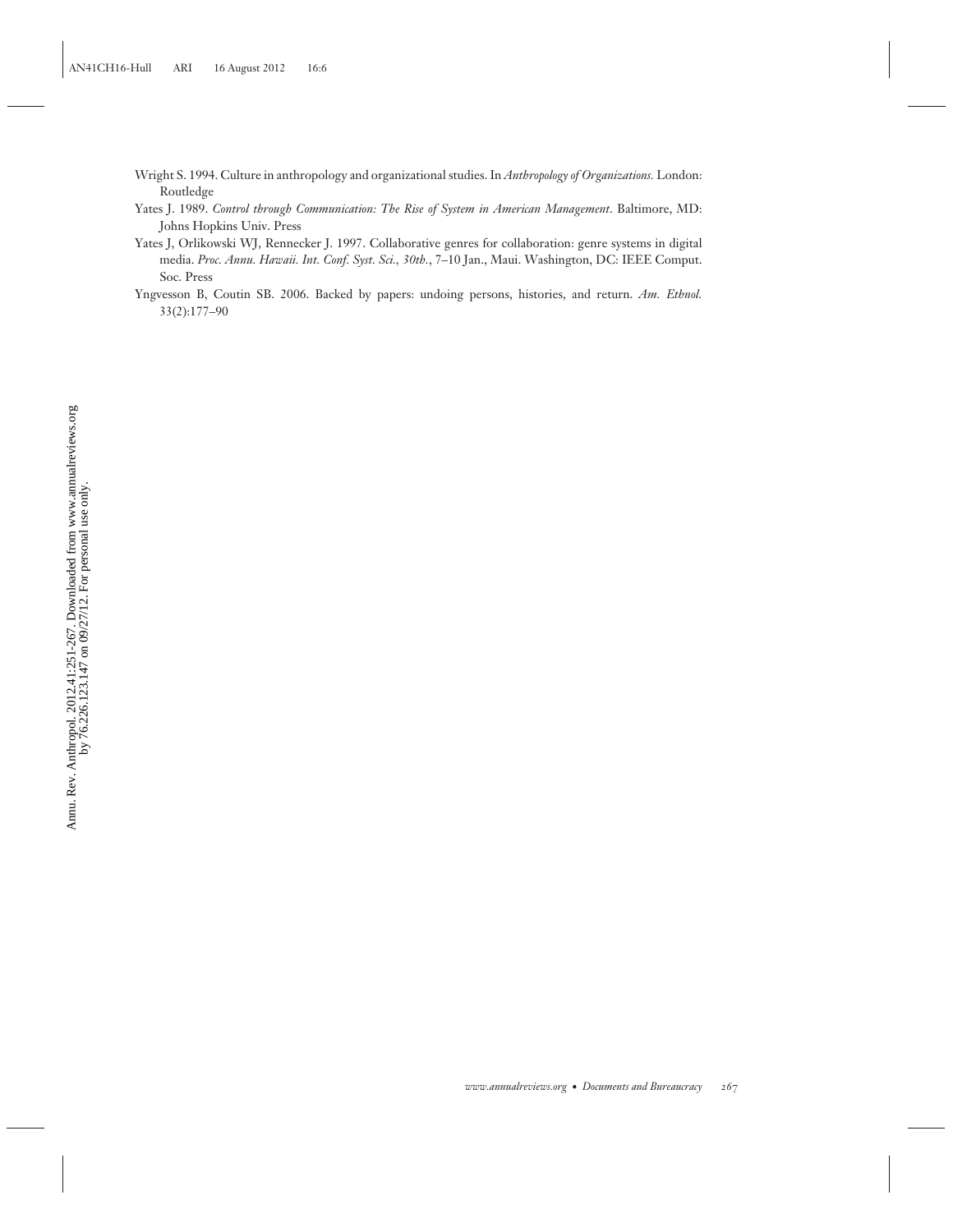- Wright S. 1994. Culture in anthropology and organizational studies. In *Anthropology of Organizations.* London: Routledge
- Yates J. 1989. *Control through Communication: The Rise of System in American Management*. Baltimore, MD: Johns Hopkins Univ. Press
- Yates J, Orlikowski WJ, Rennecker J. 1997. Collaborative genres for collaboration: genre systems in digital media. *Proc. Annu. Hawaii. Int. Conf. Syst. Sci., 30th.*, 7–10 Jan., Maui. Washington, DC: IEEE Comput. Soc. Press
- Yngvesson B, Coutin SB. 2006. Backed by papers: undoing persons, histories, and return. *Am. Ethnol.* 33(2):177–90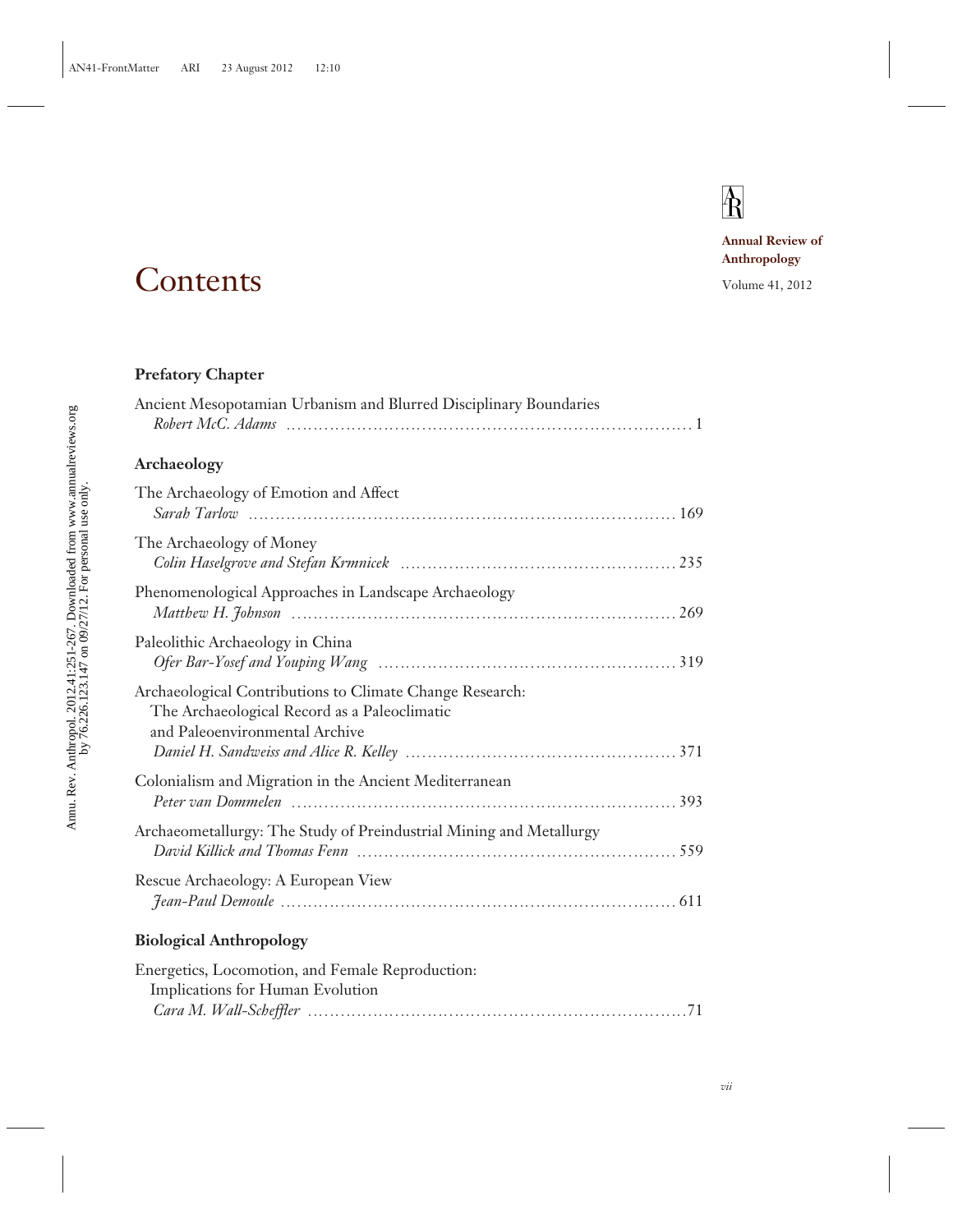# $\overline{\text{R}}$

**Annual Review of Anthropology**

## Contents Volume 41, 2012

### **Prefatory Chapter**

| Ancient Mesopotamian Urbanism and Blurred Disciplinary Boundaries                                                                          |
|--------------------------------------------------------------------------------------------------------------------------------------------|
| Archaeology                                                                                                                                |
| The Archaeology of Emotion and Affect                                                                                                      |
| The Archaeology of Money                                                                                                                   |
| Phenomenological Approaches in Landscape Archaeology                                                                                       |
| Paleolithic Archaeology in China                                                                                                           |
| Archaeological Contributions to Climate Change Research:<br>The Archaeological Record as a Paleoclimatic<br>and Paleoenvironmental Archive |
| Colonialism and Migration in the Ancient Mediterranean                                                                                     |
| Archaeometallurgy: The Study of Preindustrial Mining and Metallurgy                                                                        |
| Rescue Archaeology: A European View                                                                                                        |
| <b>Biological Anthropology</b>                                                                                                             |
| Energetics, Locomotion, and Female Reproduction:<br>Implications for Human Evolution                                                       |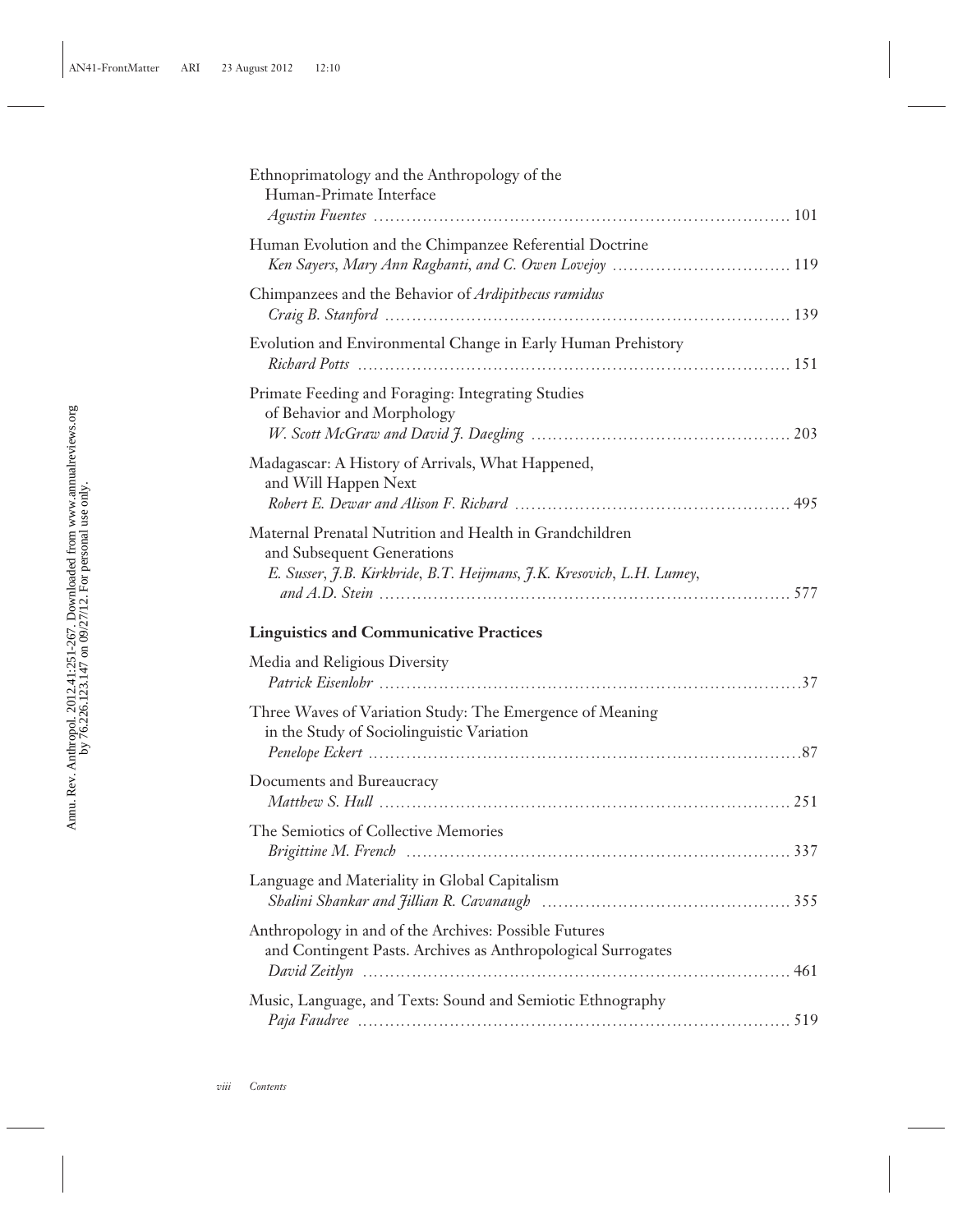| Ethnoprimatology and the Anthropology of the<br>Human-Primate Interface                                                                                        |
|----------------------------------------------------------------------------------------------------------------------------------------------------------------|
| Human Evolution and the Chimpanzee Referential Doctrine                                                                                                        |
| Chimpanzees and the Behavior of Ardipithecus ramidus                                                                                                           |
| Evolution and Environmental Change in Early Human Prehistory<br>Richard Potts (and Table 151) Richard Potts (and Table 151)                                    |
| Primate Feeding and Foraging: Integrating Studies<br>of Behavior and Morphology                                                                                |
| Madagascar: A History of Arrivals, What Happened,<br>and Will Happen Next                                                                                      |
| Maternal Prenatal Nutrition and Health in Grandchildren<br>and Subsequent Generations<br>E. Susser, J.B. Kirkbride, B.T. Heijmans, J.K. Kresovich, L.H. Lumey, |
| <b>Linguistics and Communicative Practices</b>                                                                                                                 |
|                                                                                                                                                                |
| Media and Religious Diversity                                                                                                                                  |
| Three Waves of Variation Study: The Emergence of Meaning<br>in the Study of Sociolinguistic Variation                                                          |
| Documents and Bureaucracy                                                                                                                                      |
| The Semiotics of Collective Memories                                                                                                                           |
| Language and Materiality in Global Capitalism                                                                                                                  |
| Anthropology in and of the Archives: Possible Futures<br>and Contingent Pasts. Archives as Anthropological Surrogates                                          |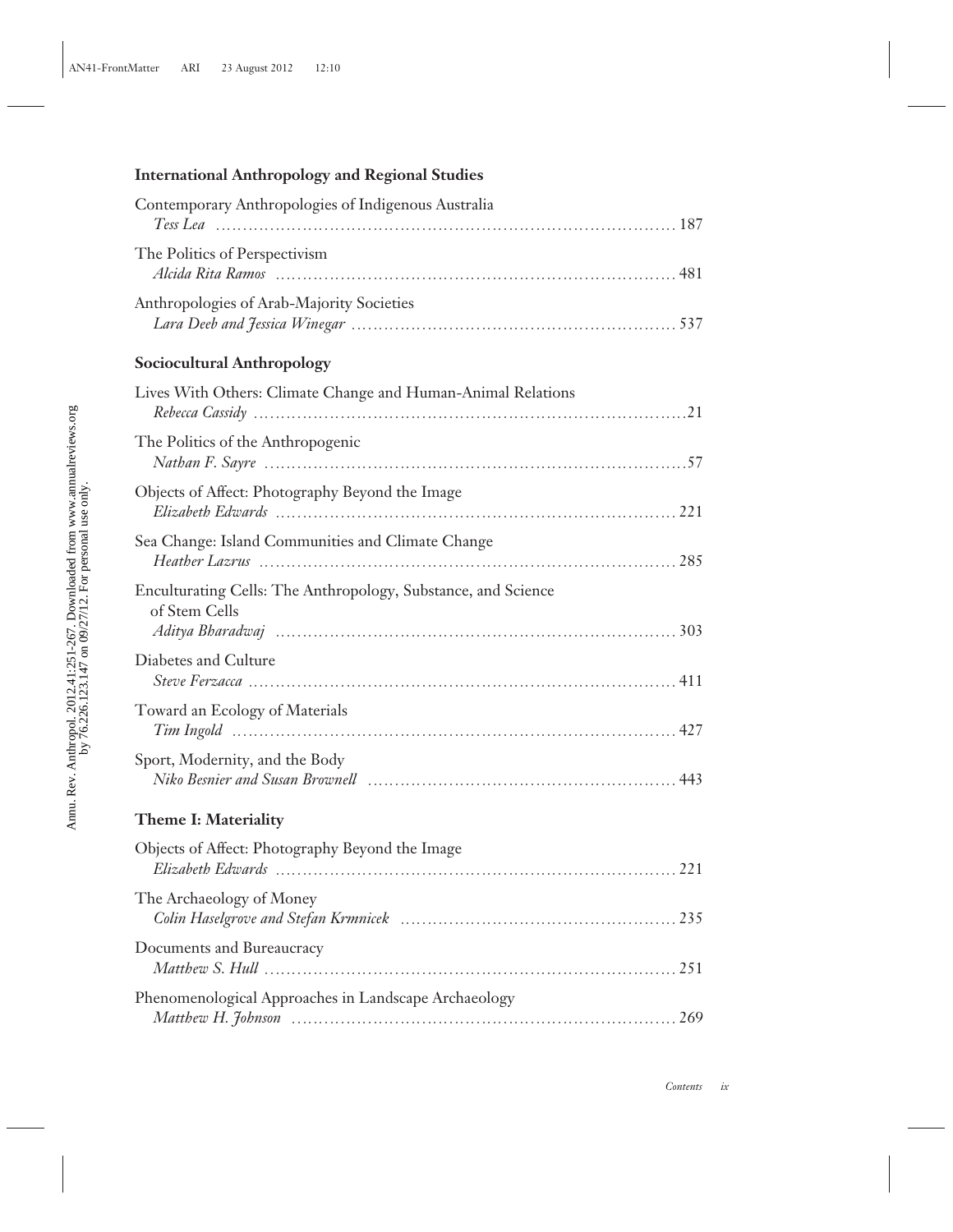## **International Anthropology and Regional Studies**

| Contemporary Anthropologies of Indigenous Australia                                               |  |
|---------------------------------------------------------------------------------------------------|--|
| The Politics of Perspectivism                                                                     |  |
| Anthropologies of Arab-Majority Societies                                                         |  |
| <b>Sociocultural Anthropology</b>                                                                 |  |
| Lives With Others: Climate Change and Human-Animal Relations                                      |  |
| The Politics of the Anthropogenic                                                                 |  |
| Objects of Affect: Photography Beyond the Image                                                   |  |
| Sea Change: Island Communities and Climate Change                                                 |  |
| Enculturating Cells: The Anthropology, Substance, and Science<br>of Stem Cells                    |  |
| Diabetes and Culture                                                                              |  |
| Toward an Ecology of Materials                                                                    |  |
| Sport, Modernity, and the Body<br>Niko Besnier and Susan Brownell (Matterian Communication and 43 |  |
| Theme I: Materiality                                                                              |  |
| Objects of Affect: Photography Beyond the Image                                                   |  |
| The Archaeology of Money                                                                          |  |
| Documents and Bureaucracy                                                                         |  |
| Phenomenological Approaches in Landscape Archaeology                                              |  |